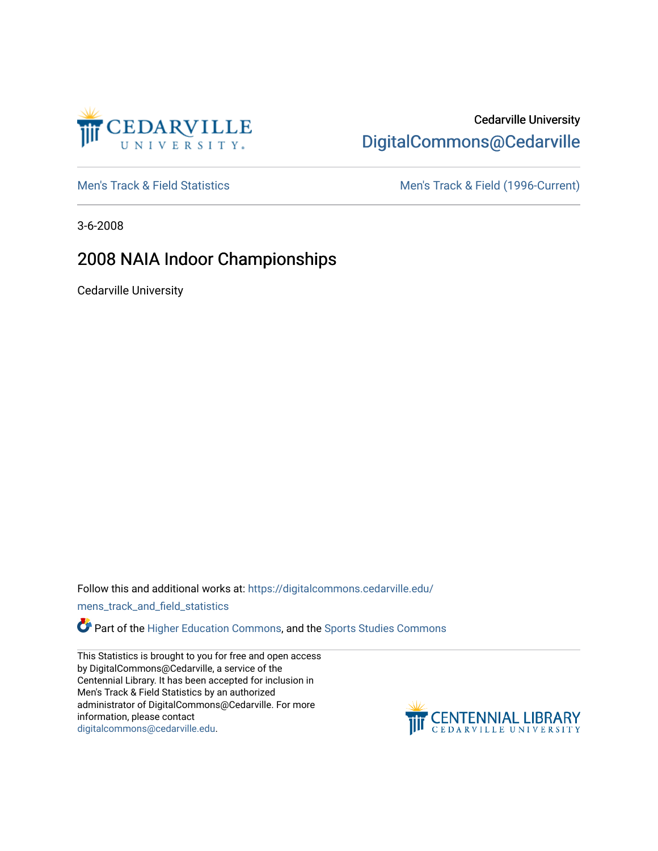

## Cedarville University [DigitalCommons@Cedarville](https://digitalcommons.cedarville.edu/)

[Men's Track & Field Statistics](https://digitalcommons.cedarville.edu/mens_track_and_field_statistics) [Men's Track & Field \(1996-Current\)](https://digitalcommons.cedarville.edu/mens_track_and_field) 

3-6-2008

# 2008 NAIA Indoor Championships

Cedarville University

Follow this and additional works at: [https://digitalcommons.cedarville.edu/](https://digitalcommons.cedarville.edu/mens_track_and_field_statistics?utm_source=digitalcommons.cedarville.edu%2Fmens_track_and_field_statistics%2F192&utm_medium=PDF&utm_campaign=PDFCoverPages)

[mens\\_track\\_and\\_field\\_statistics](https://digitalcommons.cedarville.edu/mens_track_and_field_statistics?utm_source=digitalcommons.cedarville.edu%2Fmens_track_and_field_statistics%2F192&utm_medium=PDF&utm_campaign=PDFCoverPages)

**Part of the [Higher Education Commons,](http://network.bepress.com/hgg/discipline/1245?utm_source=digitalcommons.cedarville.edu%2Fmens_track_and_field_statistics%2F192&utm_medium=PDF&utm_campaign=PDFCoverPages) and the Sports Studies Commons** 

This Statistics is brought to you for free and open access by DigitalCommons@Cedarville, a service of the Centennial Library. It has been accepted for inclusion in Men's Track & Field Statistics by an authorized administrator of DigitalCommons@Cedarville. For more information, please contact [digitalcommons@cedarville.edu](mailto:digitalcommons@cedarville.edu).

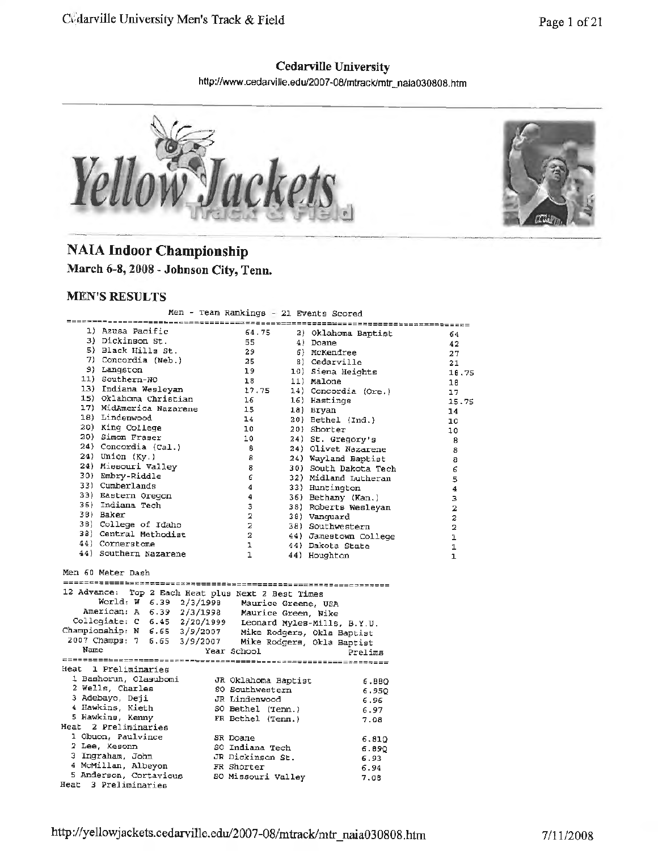#### **Cedarville University**

http://www.cedarville.edu/2007-08/mtrack/mtr \_naia030808.ht<sup>m</sup>



1B. 75

## **NAIA Indoor Championship**

**March 6-8, 2008** - **Johnson City, Tenn.** 

#### **MEN'S RESULTS**

Men -Team Rankings - 21 Events Scored

|      |                                                                                                                                                                                                              |                                                   | ren - Team Kankings - 21 Events Scored                       |                  |
|------|--------------------------------------------------------------------------------------------------------------------------------------------------------------------------------------------------------------|---------------------------------------------------|--------------------------------------------------------------|------------------|
|      | 1) Azusa Pacific                                                                                                                                                                                             |                                                   |                                                              |                  |
|      | 3) Dickinson St.                                                                                                                                                                                             | 64.75                                             | 2) Oklahoma Baptist                                          | 64               |
|      |                                                                                                                                                                                                              | 55                                                | 4) Doane                                                     | 42               |
|      | 5) Black Hills St.                                                                                                                                                                                           |                                                   | 6) McKendree                                                 | 27               |
|      |                                                                                                                                                                                                              |                                                   | 8) Cedarville                                                | 21               |
|      | 9) Langston<br>9) Langston 19<br>11) Southern-NO 18<br>13) Indiana Wesleyan 17.75<br>15) Oklahoma Christian 16                                                                                               |                                                   | 10) Siena Heights<br>11) Malone                              | 18.75            |
|      |                                                                                                                                                                                                              |                                                   | 11) Malone                                                   | 18               |
|      |                                                                                                                                                                                                              |                                                   | 14) Concordia (Ore.)                                         | 17               |
|      |                                                                                                                                                                                                              |                                                   | 16) Hastings                                                 | 15.75            |
|      | 17) MidAmerica Nazarene 15<br>18) Lindenwood 14                                                                                                                                                              |                                                   | 18) Bryan                                                    | 14               |
|      |                                                                                                                                                                                                              |                                                   | 20) Bethel (Ind.)                                            | 10               |
|      | 20) King College                                                                                                                                                                                             | $\begin{array}{c} 10 \\ 10 \end{array}$           | 20) Shorter                                                  | 10               |
|      | 20) Simon Fraser                                                                                                                                                                                             |                                                   | 24) St. Gregory's                                            | 8                |
|      | 24) Concordia (Cal.)                                                                                                                                                                                         | $-8$                                              | 24) Olivet Nazarene                                          | 8                |
|      | $24)$ Union $(Ky.)$                                                                                                                                                                                          | $-8$                                              | 24) Wayland Baptist                                          | 8                |
|      |                                                                                                                                                                                                              | $8 -$                                             | 30) South Dakota Tech                                        | 6                |
|      | 30) Embry-Riddle                                                                                                                                                                                             | - 6                                               | 32) Midland Lutheran                                         |                  |
|      | 33) Cumberlands                                                                                                                                                                                              | $\frac{4}{ }$                                     | 33) Huntington                                               | 5                |
|      | 33) Eastern Oregon                                                                                                                                                                                           | $\overline{\mathbf{4}}$                           |                                                              | $\boldsymbol{4}$ |
|      | 36) Indiana Tech                                                                                                                                                                                             | $3 -$                                             | 36) Bethany (Kan.)                                           | $\mathbf{3}$     |
|      | 38) Baker                                                                                                                                                                                                    |                                                   | 38) Roberts Wesleyan                                         | $\mathbf{2}$     |
|      | 38) College of Idaho                                                                                                                                                                                         | $\mathbf{2}$                                      | 38) Vanquard                                                 | $\overline{z}$   |
|      |                                                                                                                                                                                                              | $\overline{2}$                                    | 38) Southwestern                                             | $\overline{a}$   |
|      | 38) Central Methodist                                                                                                                                                                                        |                                                   | 2         44) Jamestown College<br>1        44) Dakota State | $\mathbf{1}$     |
|      | 44) Cornerstone                                                                                                                                                                                              |                                                   |                                                              | 1                |
|      | 44) Southern Nazarene                                                                                                                                                                                        | $\mathbf{1}$                                      | 44) Houghton                                                 | $\mathbf{1}$     |
|      |                                                                                                                                                                                                              |                                                   |                                                              |                  |
|      | Men 60 Meter Dash                                                                                                                                                                                            |                                                   |                                                              |                  |
|      |                                                                                                                                                                                                              |                                                   |                                                              |                  |
|      | 12 Advance: Top 2 Each Heat plus Next 2 Best Times                                                                                                                                                           |                                                   |                                                              |                  |
|      | World: W 6.39 2/3/1998 Maurice Greene, USA                                                                                                                                                                   |                                                   |                                                              |                  |
|      |                                                                                                                                                                                                              |                                                   |                                                              |                  |
|      | American: A 6.39 2/3/1998<br>Collegiate: C 6.45 2/20/1999 Leonard Myles-Mills, B.Y.U.<br>Championship: N 6.65 3/9/2007 Mike Rodgers, Okla Baptist<br>2007 Champs: 7 6.65 3/9/2007 Mike Rodgers, Okla Baptist |                                                   |                                                              |                  |
|      |                                                                                                                                                                                                              |                                                   |                                                              |                  |
|      |                                                                                                                                                                                                              |                                                   |                                                              |                  |
| Name |                                                                                                                                                                                                              | Year School                                       | Prelima                                                      |                  |
|      |                                                                                                                                                                                                              |                                                   |                                                              |                  |
|      | Heat 1 Preliminaries                                                                                                                                                                                         |                                                   |                                                              |                  |
|      | 1 Bashorum, Olasubomi JR Oklahoma Baptist                                                                                                                                                                    |                                                   | 6.BBQ                                                        |                  |
|      |                                                                                                                                                                                                              |                                                   | 6.950                                                        |                  |
|      | 2 Wells, Charles<br>3 Adebayo, Deji                                                                                                                                                                          | so southwestern<br>In Lindenwood<br>JR Lindenwood | 6.96                                                         |                  |
|      |                                                                                                                                                                                                              |                                                   | 6.97                                                         |                  |
|      | 4 Hawkins, Kieth<br>5 Hawkins, Kenny                                                                                                                                                                         | SO Bethel (Tenn.)<br>FR Bethel (Tenn.)            | 7.08                                                         |                  |
|      | Heat 2 Preliminaries                                                                                                                                                                                         |                                                   |                                                              |                  |
|      | 1 Obuon, Paulvince                                                                                                                                                                                           | SR Doane                                          |                                                              |                  |
|      | 2 Lee, Kesonn                                                                                                                                                                                                | SO Indiana Tech                                   | 6.810                                                        |                  |
|      | 2 Lee, Kesonn<br>3 Ingraham, John                                                                                                                                                                            | JR Dickinson St.                                  | 6.89Q                                                        |                  |
|      |                                                                                                                                                                                                              |                                                   | 6.93                                                         |                  |
|      | 4 McMillan, Albeyon FR Shorter<br>5 Anderson, Cortavious 50 Missouri Valley                                                                                                                                  |                                                   | 6.94                                                         |                  |
|      | Heat 3 Preliminaries                                                                                                                                                                                         |                                                   | 7.08                                                         |                  |
|      |                                                                                                                                                                                                              |                                                   |                                                              |                  |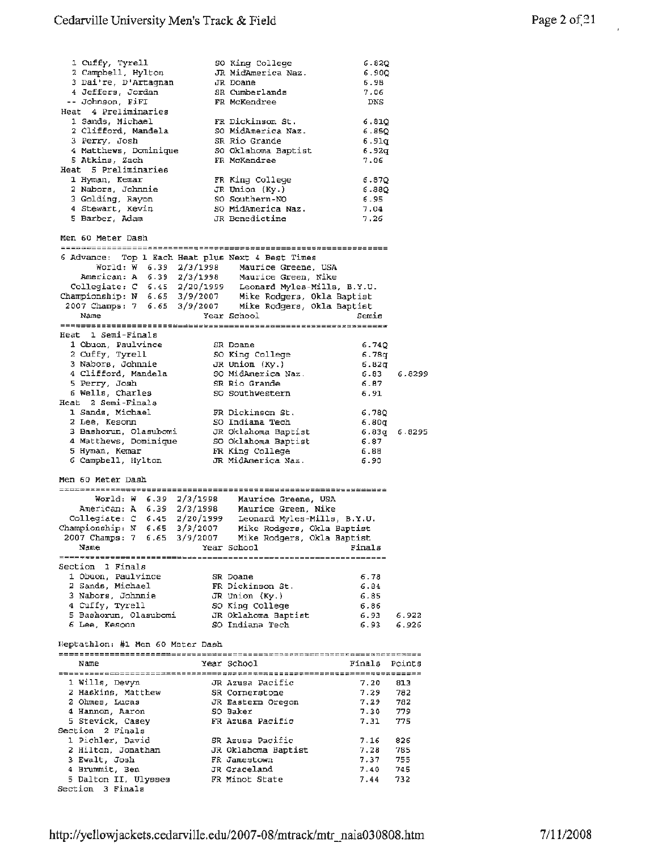| 1 Cuffy, Tyrell                                                                                                                                                                                                                        | SO King College                                         | 6.82Q            |              |
|----------------------------------------------------------------------------------------------------------------------------------------------------------------------------------------------------------------------------------------|---------------------------------------------------------|------------------|--------------|
| 2 Campbell, Hylton                                                                                                                                                                                                                     | JR MidAmerica Naz.                                      | 6.900            |              |
| 3 Dai're, D'Artagnan                                                                                                                                                                                                                   | JR Doane<br>SR Cumberlands                              | 6.9B             |              |
| 4 Jeffers, Jordan<br>-- Johnson, FiFI                                                                                                                                                                                                  | FR McKendree                                            | 7.06<br>DNS      |              |
| Heat 4 Preliminaries                                                                                                                                                                                                                   |                                                         |                  |              |
| 1 Sands, Michael                                                                                                                                                                                                                       | FR Dickinson St.                                        | 6.81Q            |              |
| 2 Clifford, Mandela                                                                                                                                                                                                                    | SO MidAmerica Naz.                                      | 6.85Q            |              |
| 3 Perry, Josh                                                                                                                                                                                                                          | SR Rio Grande                                           | 6.91q            |              |
| 4 Matthews, Dominique                                                                                                                                                                                                                  | SO Oklahoma Baptist                                     | 6.92q            |              |
| 5 Atkins, Zach<br>Heat 5 Preliminaries                                                                                                                                                                                                 | FR McKendree                                            | 7.06             |              |
| 1 Hyman, Kemar                                                                                                                                                                                                                         | FR King College                                         | 6.87Q            |              |
| 2 Nabors, Johnnie                                                                                                                                                                                                                      | JR Union (Ky.)                                          | 6.88Q            |              |
| 3 Golding, Rayon                                                                                                                                                                                                                       | SO Southern-NO                                          | 6.95             |              |
| 4 Stewart, Kevin                                                                                                                                                                                                                       | SO MidAmerica Naz.                                      | 7.04             |              |
| 5 Barber, Adam                                                                                                                                                                                                                         | JR Benedictine                                          | 7.26             |              |
| Men 60 Meter Dash                                                                                                                                                                                                                      |                                                         |                  |              |
| 6 Advance: Top 1 Each Heat plus Next 4 Best Times                                                                                                                                                                                      |                                                         |                  |              |
|                                                                                                                                                                                                                                        |                                                         |                  |              |
|                                                                                                                                                                                                                                        |                                                         |                  |              |
|                                                                                                                                                                                                                                        |                                                         |                  |              |
| World: W 6.39 2/3/1998 Maurice Greene, USA<br>American: A 6.39 2/3/1998 Maurice Greene, Nike<br>Collegiate: C 6.45 2/20/1999 Leonard Myles-Mills, B.Y.U.<br>Championship: N 6.65 3/9/2007 Mike Rodgers, Okla Baptist<br>2007 Champs: 7 |                                                         |                  |              |
| Name                                                                                                                                                                                                                                   | Year School                                             | Semis            |              |
|                                                                                                                                                                                                                                        |                                                         |                  |              |
| Heat 1 Semi-Finals                                                                                                                                                                                                                     |                                                         |                  |              |
| 1 Obuon, Paulvince                                                                                                                                                                                                                     | SR Doane                                                | 6.74Q            |              |
| 2 Cuffy, Tyrell<br>3 Nabors, Johnnie                                                                                                                                                                                                   | SO King College<br>JR Union (Ky.)                       | 6.78q<br>6.82g   |              |
| 4 Clifford, Mandela                                                                                                                                                                                                                    | SO MidAmerica Naz.                                      | 6.83             | 6.8299       |
| 5 Perry, Josh                                                                                                                                                                                                                          | SR Rio Grande                                           | 6.87             |              |
| 6 Wells, Charles                                                                                                                                                                                                                       | SO Southwestern                                         | 6.91             |              |
| Heat 2 Semi-Finals                                                                                                                                                                                                                     |                                                         |                  |              |
| 1 Sands, Michael<br>2 Lee, Kesonn                                                                                                                                                                                                      | FR Dickinson St.<br>SO Indiana Tech                     | 6.780            |              |
| 3 Bashorun, Olasubomi                                                                                                                                                                                                                  | JR Oklahoma Baptist                                     | 6.80q            | 6.83g 6.8295 |
| 4 Matthews, Dominique                                                                                                                                                                                                                  | SO Oklahoma Baptist                                     | 6.87             |              |
| 5 Hyman, Kemar                                                                                                                                                                                                                         | FR King College                                         | 6.88             |              |
| 6 Campbell, Hylton                                                                                                                                                                                                                     | JR MidAmerica Naz.                                      | 6.90             |              |
| Men 60 Meter Dash                                                                                                                                                                                                                      |                                                         |                  |              |
|                                                                                                                                                                                                                                        |                                                         |                  |              |
| World: W 6.39 2/3/1998 Maurice Greene, USA<br>American: A 6.39 2/3/1998 Maurice Green, Nike<br>Collegiate: C 6.45 2/20/1999 Leonard Myles-Mills, B.Y.U.<br>Championship: N 6.65 3/9/2007 Mike Rodgers, Okla Baptist                    |                                                         |                  |              |
|                                                                                                                                                                                                                                        |                                                         |                  |              |
|                                                                                                                                                                                                                                        |                                                         |                  |              |
| 2007 Champs: 7 6.65 3/9/2007 Mike Rodgers, Okla Baptist                                                                                                                                                                                |                                                         |                  |              |
| Name                                                                                                                                                                                                                                   | Year School                                             | Finals           |              |
|                                                                                                                                                                                                                                        |                                                         |                  |              |
| Section 1 Finals                                                                                                                                                                                                                       |                                                         |                  |              |
| 1 Obuon, Paulvince                                                                                                                                                                                                                     | SR Doane                                                | 6.78<br>6.84     |              |
| , michael<br>3 Nabors, Johnnie<br>4 Cuffy mental                                                                                                                                                                                       | FR Dickinson St.<br>JR Union (Ky.)                      | 6.85             |              |
|                                                                                                                                                                                                                                        |                                                         | 6.86             |              |
| 4 Cuffy, Tyrell 50 King College<br>5 Bashorun, Olasubomi JR Oklahoma Baptist                                                                                                                                                           |                                                         | 6.93 6.922       |              |
| 6 Lee, Kesonn                                                                                                                                                                                                                          | SO Indiana Tech                                         | 6.93             | 6.926        |
| Heptathlon: #1 Men 60 Meter Dash                                                                                                                                                                                                       |                                                         |                  |              |
|                                                                                                                                                                                                                                        |                                                         |                  |              |
| Name                                                                                                                                                                                                                                   | Year School                                             | Finals Points    |              |
| 1 Wills, Devyn                                                                                                                                                                                                                         |                                                         |                  |              |
|                                                                                                                                                                                                                                        |                                                         |                  |              |
|                                                                                                                                                                                                                                        |                                                         | 7.20             | 813          |
| 2 Haskins, Matthew<br>2 Ohmes, Lucas                                                                                                                                                                                                   | JR Azusa Pacific<br>SR Corneratone<br>JR Eastern Oregon | 7.29<br>7.29 782 | 782          |
| 4 Hannon, Aaron                                                                                                                                                                                                                        | SO Baker                                                | 7.30 779         |              |
| 5 Stevick, Casey                                                                                                                                                                                                                       | FR Azusa Pacific                                        | 7.31             | 775          |
| Section 2 Finals                                                                                                                                                                                                                       |                                                         |                  |              |
| 1 Pichler, David                                                                                                                                                                                                                       | SR Azusa Pacific                                        | 7.16             | 826          |
| 2 Hilton, Jonathan<br>3 Ewalt, Josh                                                                                                                                                                                                    | JR Oklahoma Baptist<br>FR Jamestown                     | 7.28<br>7.37     | 785<br>755   |
| 4 Brummit, Ben                                                                                                                                                                                                                         | JR Graceland                                            | 7.40             | 745          |
| 5 Dalton II, Ulysses<br>Section 3 Finals                                                                                                                                                                                               | FR Minot State                                          | 7.44             | 732          |

l,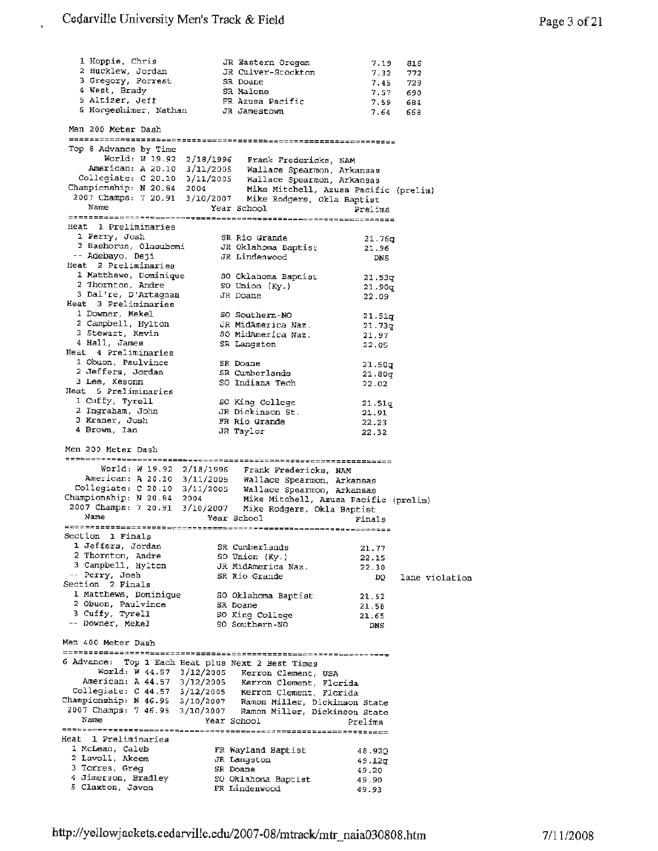J,

| 1 Hoppie, Chris<br>2 Bucklew, Jordan<br>3 Gregory, Forrest<br>4 West, Brady<br>5 Altizer, Jeff<br>6 Horgeshimer, Nathan                                                                                                                                          | JR Eastern Oregon<br>JR Culver-Stockton<br>SR Doane<br>SR Malone<br>FR Azusa Pacific<br>JR Jamestown | 7.19<br>7.32        | 816<br>772<br>7.45 729<br>7.57 690<br>7.59 684<br>7.64 668 |
|------------------------------------------------------------------------------------------------------------------------------------------------------------------------------------------------------------------------------------------------------------------|------------------------------------------------------------------------------------------------------|---------------------|------------------------------------------------------------|
| Men 200 Meter Dash                                                                                                                                                                                                                                               |                                                                                                      |                     |                                                            |
| Top 8 Advance by Time<br>World: W 19.92 2/18/1996 Frank Fredericks, NAM<br>American: A 20.10 3/11/2005 Wallace Spearmon, Arkansas<br>Collegiate: C 20.10 3/11/2005 Wallace Spearmon, Arkansas<br>Championship: N 20.84 2004 Mike Mitchell, Azusa Pacific (prelim |                                                                                                      |                     |                                                            |
| 2007 Champs: 7 20.91 3/10/2007 Mike Rodgers, Okla Baptist<br>Name                                                                                                                                                                                                | Year School                                                                                          | Prelima             |                                                            |
|                                                                                                                                                                                                                                                                  |                                                                                                      |                     |                                                            |
| Heat 1 Preliminaries<br>1 Perry, Josh                                                                                                                                                                                                                            | SR Rio Grande                                                                                        |                     |                                                            |
| 2 Bashorun, Olasubomi                                                                                                                                                                                                                                            | JR Oklahoma Baptist                                                                                  | 21.76q<br>21.96     |                                                            |
| -- Adebayo, Deji                                                                                                                                                                                                                                                 | JR Lindenwood                                                                                        | DN5                 |                                                            |
| Heat 2 Preliminaries<br>1 Matthews, Dominique                                                                                                                                                                                                                    |                                                                                                      |                     |                                                            |
| 2 Thornton, Andre                                                                                                                                                                                                                                                | SO Oklahoma Baptist                                                                                  | 21.53q              |                                                            |
| 3 Dai're, D'Artagnan                                                                                                                                                                                                                                             | SO Union (Ky.)<br>JR Doane                                                                           | 21.90q<br>22.09     |                                                            |
| Heat 3 Preliminaries                                                                                                                                                                                                                                             |                                                                                                      |                     |                                                            |
| 1 Downer, Mekel                                                                                                                                                                                                                                                  | SO Southern-NO                                                                                       | 21.51q              |                                                            |
| 2 Campbell, Hylton<br>3 5tewart, Kevin                                                                                                                                                                                                                           | JR MidAmerica Naz.                                                                                   | 21.73q              |                                                            |
| 4 Hall, James                                                                                                                                                                                                                                                    | SO MidAmerica Naz.<br>SR Langston                                                                    | 21.97<br>22,05      |                                                            |
| Heat 4 Preliminaries                                                                                                                                                                                                                                             |                                                                                                      |                     |                                                            |
| 1 Obuon, Paulvince                                                                                                                                                                                                                                               | SR Doane                                                                                             | 21.50q              |                                                            |
| 2 Jeffers, Jordan                                                                                                                                                                                                                                                | SR Cumberlands                                                                                       | 21.80q              |                                                            |
| 3 Lee, Kesonn<br>Heat 5 Preliminaries                                                                                                                                                                                                                            | SO Indiana Tech                                                                                      | 22.02               |                                                            |
| 1 Cuffy, Tyrell                                                                                                                                                                                                                                                  | SO King College                                                                                      |                     |                                                            |
| 2 Ingraham, John                                                                                                                                                                                                                                                 | JR Dickinson St.                                                                                     | 21.51q<br>21.91     |                                                            |
| 3 Kraner, Josh                                                                                                                                                                                                                                                   | FR Rio Grande                                                                                        | 22.23               |                                                            |
| 4 Brown, Ian                                                                                                                                                                                                                                                     | JR Taylor                                                                                            | 22.32               |                                                            |
|                                                                                                                                                                                                                                                                  |                                                                                                      |                     |                                                            |
| Men 200 Meter Dash                                                                                                                                                                                                                                               |                                                                                                      |                     |                                                            |
|                                                                                                                                                                                                                                                                  | World: W 19.92 2/18/1996 Frank Fredericks, NAM                                                       |                     |                                                            |
|                                                                                                                                                                                                                                                                  | American: A 20.10 3/11/2005 Wallace Spearmon, Arkansas                                               |                     |                                                            |
| Collegiate: C 20.10 3/11/2005 Wallace Spearmon, Arkansas                                                                                                                                                                                                         |                                                                                                      |                     |                                                            |
| Championship: N 20.84 2004 Mike Mitchell, Azusa Pacific (prelim)                                                                                                                                                                                                 |                                                                                                      |                     |                                                            |
| 2007 Champs: 7 20.91 3/10/2007 Mike Rodgers, Okla Baptist<br>Name                                                                                                                                                                                                | Year School                                                                                          |                     |                                                            |
|                                                                                                                                                                                                                                                                  |                                                                                                      | Finals              |                                                            |
| Section 1 Finals                                                                                                                                                                                                                                                 |                                                                                                      |                     |                                                            |
| 1 Jeffers, Jordan                                                                                                                                                                                                                                                | SR Cumberlands                                                                                       | 21.77               |                                                            |
| 2 Thornton, Andre<br>3 Campbell, Hylton                                                                                                                                                                                                                          | SO Union (Ky.)<br>JR MidAmerica Naz.                                                                 | 22.15               |                                                            |
| -- Perry, Josh                                                                                                                                                                                                                                                   | SR Rio Grande                                                                                        | 22.30<br>DQ.        | lane violation                                             |
| Section 2 Finals                                                                                                                                                                                                                                                 |                                                                                                      |                     |                                                            |
| 1 Matthews, Dominique                                                                                                                                                                                                                                            | SO Oklahoma Baptist                                                                                  | 21.52               |                                                            |
| 2 Obuon, Paulvince                                                                                                                                                                                                                                               | SR Doane                                                                                             | 21.58               |                                                            |
| 3 Cuffy, Tyrell<br>-- Downer, Mekel                                                                                                                                                                                                                              | SO King College<br>SO Southern-NO                                                                    | 21.65<br><b>DNS</b> |                                                            |
| Men 400 Meter Dash                                                                                                                                                                                                                                               |                                                                                                      |                     |                                                            |
|                                                                                                                                                                                                                                                                  |                                                                                                      |                     |                                                            |
| 6 Advance: Top 1 Each Heat plus Next 2 Best Times                                                                                                                                                                                                                | World: W 44.57 3/12/2005 Kerron Clement, USA                                                         |                     |                                                            |
|                                                                                                                                                                                                                                                                  | American: A 44.57 3/12/2005 Kerron Clement, Florida                                                  |                     |                                                            |
| Collegiate: C 44.57 3/12/2005 Kerron Clement, Florida                                                                                                                                                                                                            |                                                                                                      |                     |                                                            |
| Championship: N 46.95 3/10/2007 Ramon Miller, Dickinson State                                                                                                                                                                                                    |                                                                                                      |                     |                                                            |
| 2007 Champs: 7 46.95 3/10/2007 Ramon Miller, Dickinson State<br>Name                                                                                                                                                                                             |                                                                                                      |                     |                                                            |
|                                                                                                                                                                                                                                                                  | Year School                                                                                          | Prelims             |                                                            |
| Heat 1 Preliminaries                                                                                                                                                                                                                                             |                                                                                                      |                     |                                                            |
| 1 McLean, Caleb                                                                                                                                                                                                                                                  | FR Wayland Baptist                                                                                   | 48.92Q              |                                                            |
| 2 Lavoll, Akeem                                                                                                                                                                                                                                                  | JR Langston                                                                                          | 49.12g              |                                                            |
| 3 Torres, Greg<br>4 Jimerson, Bradley                                                                                                                                                                                                                            | SR Doane                                                                                             | 49.20               |                                                            |
| 5 Claxton, Javon                                                                                                                                                                                                                                                 | SO Oklahoma Baptist<br>FR Lindenwood                                                                 | 49.90<br>49.93      |                                                            |
|                                                                                                                                                                                                                                                                  |                                                                                                      |                     |                                                            |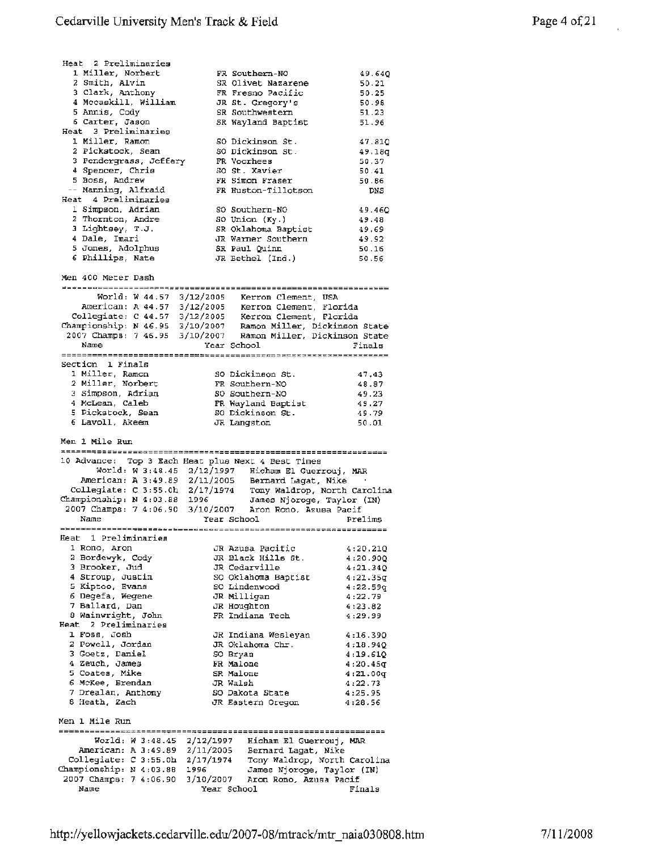| Heat 2 Preliminaries                                                                                                                                    |           |                                                |                              |
|---------------------------------------------------------------------------------------------------------------------------------------------------------|-----------|------------------------------------------------|------------------------------|
| 1 Miller, Norbert                                                                                                                                       |           | FR Southern-NO                                 | 49.640                       |
| 2 Smith, Alvin                                                                                                                                          |           | SR Olivet Nazarene                             | 50.21                        |
| 3 Clark, Anthony<br>4 Mccaskill, William                                                                                                                |           | FR Fresno Pacific<br>JR St. Gregory's          | 50.25<br>50.98               |
| 5 Annis, Cody                                                                                                                                           |           | SR Southwestern                                | 51.23                        |
| 6 Carter, Jason                                                                                                                                         |           | SR Wayland Baptist                             | 51.96                        |
| Heat 3 Preliminaries                                                                                                                                    |           |                                                |                              |
| 1 Miller, Ramon                                                                                                                                         |           | SO Dickinson St.                               | 47.81Q                       |
| 2 Pickstock, Sean                                                                                                                                       |           | SO Dickinson St.                               | 49.18q                       |
| 3 Pendergrass, Jeffery                                                                                                                                  |           | FR Voorhees                                    | 50.37                        |
| 4 Spencer, Chris<br>5 Boss, Andrew                                                                                                                      |           | SO St. Xavier                                  | 50.41                        |
| -- Manning, Alfraid                                                                                                                                     |           | FR Simon Fraser<br>FR Huston-Tillotson         | 50.86                        |
| Heat 4 Preliminaries                                                                                                                                    |           |                                                | DNS                          |
| 1 Simpson, Adrian                                                                                                                                       |           | SO Southern-NO                                 | 49.460                       |
| 2 Thornton, Andre                                                                                                                                       |           | SO Union (Ky.)                                 | 49.48                        |
| 3 Lightsey, T.J.                                                                                                                                        |           | SR Oklahoma Baptist                            | 49.69                        |
| 4 Dale, Imari                                                                                                                                           |           | JR Warner Southern                             | 49.92                        |
| 5 Jones, Adolphus                                                                                                                                       |           | SR Paul Quinn                                  | 50.16                        |
| 6 Phillips, Nate                                                                                                                                        |           | JR Bethel (Ind.)                               | 50.56                        |
| Men 400 Meter Dash                                                                                                                                      |           |                                                |                              |
|                                                                                                                                                         |           |                                                |                              |
| World: W 44.57 3/12/2005 Kerron Clement, USA<br>American: A 44.57 3/12/2005 Kerron Clement, Florida                                                     |           |                                                |                              |
|                                                                                                                                                         |           |                                                |                              |
| Collegiate: C 44.57 3/12/2005 Kerron Clement, Florida<br>Championship: N 46.95 3/10/2007 Ramon Miller, Dickinson State                                  |           |                                                |                              |
| 2007 Champs: 7 46.95 3/10/2007 Ramon Miller, Dickinson State                                                                                            |           |                                                |                              |
| Name                                                                                                                                                    |           | Year School                                    | Finals                       |
|                                                                                                                                                         |           |                                                |                              |
| Section 1 Finals                                                                                                                                        |           |                                                |                              |
| 1 Miller, Ramon                                                                                                                                         |           | SO Dickinson St.                               | 47.43                        |
| 2 Miller, Norbert                                                                                                                                       |           | FR Southern-NO                                 | 48.87                        |
| 3 Simpson, Adrian<br>4 McLean, Caleb                                                                                                                    |           | SO Southern-NO<br>FR Wayland Baptist           | 49.23<br>49.27               |
| 5 Pickstock, Sean                                                                                                                                       |           | SO Dickinson St.                               | 49.79                        |
|                                                                                                                                                         |           |                                                |                              |
|                                                                                                                                                         |           | JR Langston                                    | 50.01                        |
| 6 Lavoll, Akeem                                                                                                                                         |           |                                                |                              |
| Men 1 Mile Run                                                                                                                                          |           |                                                |                              |
|                                                                                                                                                         |           |                                                |                              |
| 10 Advance: Top 3 Each Heat plus Next 4 Best Times                                                                                                      |           |                                                |                              |
| World: $\hat{W}$ 3:48.45 2/12/1997 Hicham El Guerrouj, MAR<br>American: A 3:49.89 2/11/2005 Bernard Lagat, Nike                                         |           |                                                |                              |
|                                                                                                                                                         |           |                                                |                              |
| Collegiate: C 3:55.0h 2/17/1974 Tony Waldrop, North Carolina<br>ampionship: N 4:03.88 1996 James Njoroge, Taylor (IN)<br>Championship: $N$ 4:03.88 1996 |           |                                                |                              |
| 2007 Champs: 7 4:06.90 3/10/2007 Aron Rono, Azusa Pacif                                                                                                 |           |                                                |                              |
| Name                                                                                                                                                    |           | Year School                                    | Prelims                      |
|                                                                                                                                                         |           |                                                |                              |
| Heat 1 Preliminaries                                                                                                                                    |           |                                                |                              |
| 1 Rono, Aron<br>2 Bordewyk, Cody                                                                                                                        |           | JR Azusa Pacific<br>JR Black Hills St.         | 4:20.21Q<br>4:20.90Q         |
| 3 Brooker, Jud                                                                                                                                          |           | JR Cedarville                                  | 4:21.34Q                     |
| 4 Stroup, Justin                                                                                                                                        |           | SO Oklahoma Baptist                            | 4:21.35q                     |
| 5 Kiptoo, Evans                                                                                                                                         |           | SO Lindenwood                                  | 4:22.59q                     |
| 6 Degefa, Wegene                                                                                                                                        |           | JR Milligan                                    | 4:22.79                      |
| 7 Ballard, Dan                                                                                                                                          |           | JR Houghton                                    | 4:23.82                      |
| 8 Wainwright, John                                                                                                                                      |           | FR Indiana Tech                                | 4:29.99                      |
| Heat 2 Preliminaries                                                                                                                                    |           |                                                |                              |
| 1 Foss, Josh<br>2 Powell, Jordan                                                                                                                        |           | JR Indiana Wesleyan<br>JR Oklahoma Chr.        | 4:16.39Q<br>4:18.94Q         |
| 3 Goetz, Daniel                                                                                                                                         |           | SO Bryan                                       | 4:19.61Q                     |
| 4 Zeuch, James                                                                                                                                          |           | FR Malone                                      | 4:20.45q                     |
| 5 Coates, Mike                                                                                                                                          |           | SR Malone                                      | 4:21.00q                     |
| 6 McKee, Brendan                                                                                                                                        |           | JR Walsh                                       | 4:22.73                      |
| 7 Drealan, Anthony                                                                                                                                      |           | SO Dakota State                                | 4:25.95                      |
| 8 Heath, Zach                                                                                                                                           |           | JR Eastern Oregon                              | 4:28.56                      |
| Men 1 Mile Run<br>===================                                                                                                                   |           |                                                |                              |
| Woz1d: W3:48.45                                                                                                                                         | 2/12/1997 |                                                |                              |
| American: A 3:49.89 2/11/2005                                                                                                                           |           | Hicham El Guerrouj, MAR<br>Bernard Lagat, Nike |                              |
| Collegiate: C 3:55.0h                                                                                                                                   | 2/17/1974 |                                                | Tony Waldrop, North Carolina |
| Championship: N 4:03.88                                                                                                                                 | 1996      | James Njoroge, Taylor (IN)                     |                              |
| 2007 Champs: 7 4:06.90<br>Name                                                                                                                          | 3/10/2007 | Aron Rono, Azusa Pacif<br>Year School          | Finals                       |

l.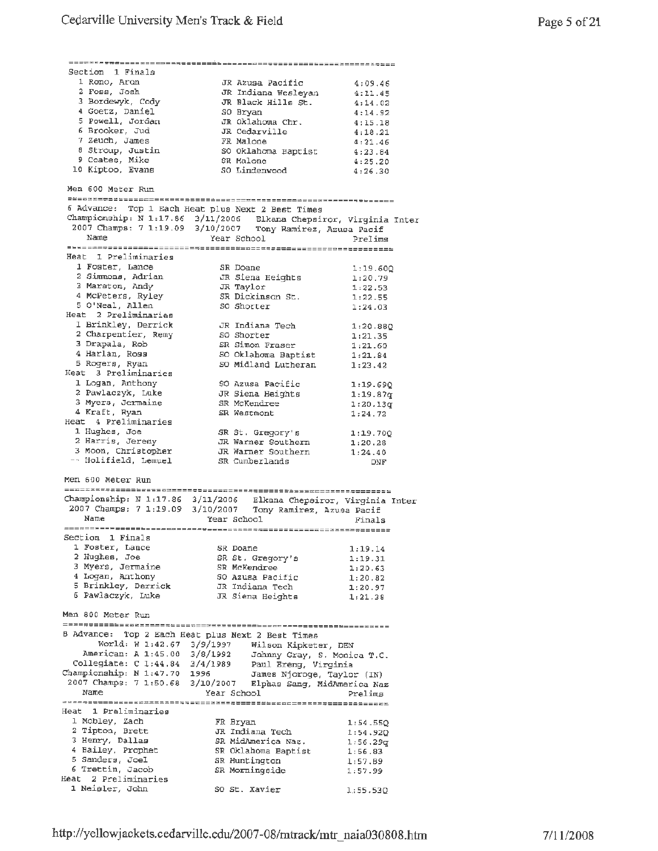| Section 1 Finals                                                |                                                                                                                                  |          |
|-----------------------------------------------------------------|----------------------------------------------------------------------------------------------------------------------------------|----------|
| 1 Rono, Aron                                                    | JR Azusa Pacific                                                                                                                 | 4:09.46  |
| 2 Foss, Josh                                                    | JR Indiana Wesleyan                                                                                                              | 4:11.45  |
| 3 Bordewyk, Cody                                                | JR Black Hills St.                                                                                                               | 4:14.02  |
| 4 Goetz, Daniel                                                 | SO Bryan                                                                                                                         | 4:14.92  |
| 5 Powell, Jordan                                                | JR Oklahoma Chr.                                                                                                                 | 4:15.18  |
| 6 Brooker, Jud                                                  | JR Cedarville                                                                                                                    | 4:18.21  |
| 7 Zeuch, James                                                  | FR Malone                                                                                                                        | 4:21.46  |
| 8 Stroup, Justin                                                | SO Oklahoma Baptist                                                                                                              | 4:23.84  |
| 9 Coates, Mike                                                  | SR Malone                                                                                                                        | 4:25.20  |
| 10 Kiptoo, Evans                                                | sk Malone<br>SO Lindenwood                                                                                                       | 4:26.30  |
|                                                                 |                                                                                                                                  |          |
| Men 600 Meter Run                                               |                                                                                                                                  |          |
|                                                                 |                                                                                                                                  |          |
|                                                                 | 6 Advance: Top 1 Each Heat plus Next 2 Best Times                                                                                |          |
|                                                                 | Championship: N 1:17.86 3/11/2006 Elkana Chepsiror, Virginia Inter<br>2007 Champs: 7 1:19.09 3/10/2007 Tony Ramirez, Azusa Pacif |          |
|                                                                 |                                                                                                                                  |          |
| Name                                                            | Year School                                                                                                                      | Prelims  |
|                                                                 |                                                                                                                                  |          |
| Heat I Preliminaries                                            |                                                                                                                                  |          |
| 1 Foster, Lance                                                 | SR Doane                                                                                                                         | 1:19.60Q |
| 2 Simmons, Mance<br>3 Maraton, Andy<br>4 Mo <sup>pet</sup> or 7 |                                                                                                                                  | 1:20.79  |
|                                                                 | JR Siena Heights<br>JR Taylor                                                                                                    | 1:22.53  |
| 4 McPeters, Ryley                                               | SR Dickinson St.                                                                                                                 | 1:22.55  |
| 5 O'Neal, Allen                                                 | SO Shorter                                                                                                                       | 1:24.03  |
| Heat 2 Preliminaries                                            |                                                                                                                                  |          |
| 1 Brinkley, Derrick                                             | JR Indiana Tech                                                                                                                  |          |
| 2 Charpentier, Remy                                             | SO Shorter                                                                                                                       | 1:20.880 |
| 3 Drapala, Rob                                                  | SR Simon Fraser                                                                                                                  | 1:21.35  |
| 4 Harlan, Ross                                                  | SO Oklahoma Baptist                                                                                                              | 1:21.60  |
| 5 Rogers, Ryan                                                  | SO Midland Lutheran                                                                                                              | 1:21.84  |
| Heat 3 Preliminaries                                            |                                                                                                                                  | 1:23.42  |
|                                                                 |                                                                                                                                  |          |
| 1 Logan, Anthony                                                | SO Azusa Pacific                                                                                                                 | 1:19.690 |
| 2 Pawlaczyk, Luke                                               | JR Siena Heights                                                                                                                 | 1:19.87q |
| 3 Myers, Jermaine                                               | SR McKendree                                                                                                                     | 1:20.13q |
| 4 Kraft, Ryan                                                   | SR Westmont                                                                                                                      | 1:24.72  |
| Heat 4 Preliminaries                                            |                                                                                                                                  |          |
| 1 Hughes, Joe                                                   | SR St. Gregory's                                                                                                                 | 1:19.70Q |
| 2 Harris, Jeremy                                                | JR Warner Southern                                                                                                               | 1:20.28  |
| 3 Moon, Christopher                                             | JR Warner Southern                                                                                                               | 1:24.40  |
| -- Holifield, Lemuel                                            | SR Cumberlands                                                                                                                   | DNF      |
|                                                                 |                                                                                                                                  |          |
| Men 600 Meter Run                                               |                                                                                                                                  |          |
|                                                                 |                                                                                                                                  |          |
|                                                                 | Championship: N 1:17.86 3/11/2006 Elkana Chepsiror, Virginia Inter                                                               |          |
|                                                                 | 2007 Champs: 7 1:19.09 3/10/2007 Tony Ramirez, Azusa Pacif                                                                       |          |
| Name                                                            | Year School                                                                                                                      | Finals   |
|                                                                 |                                                                                                                                  |          |
| Section 1 Finals                                                |                                                                                                                                  |          |
| 1 Foster, Lance                                                 | SR Doane                                                                                                                         | 1:19.14  |
| 2 Hughes, Joe                                                   |                                                                                                                                  |          |
|                                                                 | SR St. Gregory's                                                                                                                 | 1:19.31  |
| 3 Myers, Jermaine                                               | SR McKendree                                                                                                                     | 1:20.63  |
| 4 Logan, Anthony                                                | SO Azusa Pacific                                                                                                                 | 1:20.82  |
| 5 Brinkley, Derrick                                             | JR Indiana Tech                                                                                                                  | 1:20.97  |
| 6 Pawlaczyk, Luke                                               | JR Siena Heights                                                                                                                 | 1:21.38  |
|                                                                 |                                                                                                                                  |          |
| Men 800 Meter Run                                               |                                                                                                                                  |          |
|                                                                 |                                                                                                                                  |          |
|                                                                 | B Advance: Top 2 Each Heat plus Next 2 Best Times                                                                                |          |
| World: W 1:42.67 3/9/1997                                       |                                                                                                                                  |          |
| American: A 1:45.00 3/8/1992                                    | Wilson Kipketer, DEN                                                                                                             |          |
|                                                                 | Johnny Gray, S. Monica T.C.                                                                                                      |          |
| Collegiate: C 1:44.84 3/4/1989<br>Championship: N 1:47.70 1996  | Paul Ereng, Virginia                                                                                                             |          |
|                                                                 | James Njoroge, Taylor (IN)                                                                                                       |          |
| Name                                                            | 2007 Champs: 7 1:50.68 3/10/2007 Elphas Sang, MidAmerica Naz<br>Year School                                                      | Prelims  |
|                                                                 |                                                                                                                                  |          |
| Heat 1 Preliminaries                                            |                                                                                                                                  |          |
| 1 Mobley, Zach                                                  |                                                                                                                                  |          |
|                                                                 | FR Bryan                                                                                                                         | 1:54.55Q |
| 2 Tipton, Brett                                                 | JR Indiana Tech                                                                                                                  | 1:54.920 |
| 3 Henry, Dallas                                                 | SR MidAmerica Naz.                                                                                                               | 1:56.29q |
| 4 Bailey, Prophet                                               | SR Oklahoma Baptist                                                                                                              | 1:56.83  |
| 5 Sanders, Joel                                                 | SR Huntington                                                                                                                    | 1:57.89  |
| 6 Trettin, Jacob                                                | SR Morningside                                                                                                                   | 1:57.99  |
| Heat 2 Preliminaries<br>1 Neisler, John                         | SO St. Xavier                                                                                                                    | 1:55.530 |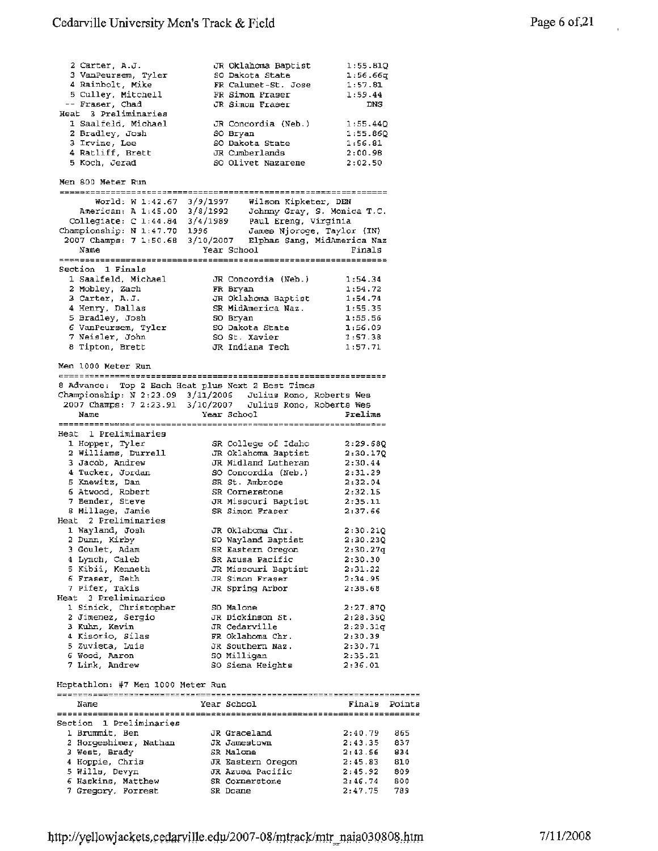| 2 Carter, A.J.               |          | JR Oklahoma Baptist         | 1:55.810 |
|------------------------------|----------|-----------------------------|----------|
| 3 VanPeursem, Tyler          |          | SO Dakota State             | 1:56.66q |
| 4 Rainbolt, Mike             |          | FR Calumet-St. Jose         | 1:57.81  |
| 5 Culley, Mitchell           |          | FR Simon Fraser             | 1:59.44  |
| -- Fraser, Chad              |          | JR Simon Fraser             | DNS      |
| Heat 3 Preliminaries         |          |                             |          |
| 1 Saalfeld, Michael          |          | JR Concordia (Neb.)         | 1:55.440 |
| 2 Bradley, Josh              |          | SO Bryan                    | 1:55.860 |
| 3 Irvine, Lee                |          | SO Dakota State             | 1:56.81  |
| 4 Ratliff, Brett             |          | JR Cumberlands              | 2:00.98  |
| 5 Koch, Jerad                |          | SO Olivet Nazarene          | 2:02.50  |
|                              |          |                             |          |
| Men 800 Meter Run            |          |                             |          |
|                              |          |                             |          |
| World: W 1:42.67 3/9/1997    |          | Wilson Kipketer, DEN        |          |
| American: A 1:45.00 3/8/1992 |          | Johnny Gray, S. Monica T.C. |          |
| Collegiate: C 1:44.84        | 3/4/1989 | Paul Ereng, Virginia        |          |

| Championship: N 1:47.70 1996                                 |                     | James Njoroge, Taylor (IN) |
|--------------------------------------------------------------|---------------------|----------------------------|
| 2007 Champs: 7 1:50.68 3/10/2007 Elphas Sang, MidAmerica Naz |                     |                            |
| Name                                                         | Year School         | Finals                     |
|                                                              |                     |                            |
| Section 1 Finals                                             |                     |                            |
| 1 Saalfeld, Michael                                          | JR Concordia (Neb.) | 1:54.34                    |
| 2 Mobley, Zach                                               | FR Bryan            | 1:54.72                    |
| 3 Carter, A.J.                                               | JR Oklahoma Baptist | 1:54.74                    |
| 4 Henry, Dallas                                              | SR MidAmerica Naz.  | 1:55.35                    |
| 5 Bradley, Josh                                              | SO Bryan            | 1:55.56                    |
| 6 VanPeursem, Tyler                                          | SO Dakota State     | 1:56.09                    |
| 7 Neisler, John                                              | SO St. Xavier       | 1:57.38                    |
| 8 Tipton, Brett                                              | JR Indiana Tech     | 1:57.71                    |
|                                                              |                     |                            |

Men 1000 Meter Run

| 8 Advance: Top 2 Each Heat plus Next 2 Best Times          |             |                          |
|------------------------------------------------------------|-------------|--------------------------|
| Championship: N 2:23.09 3/11/2006 Julius Rono, Roberts Wes |             |                          |
| 2007 Champs: 7 2:23.91 3/10/2007                           |             | Julius Rono, Roberts Wes |
| Name                                                       | Year School | Prelims                  |

| Heat 1 Preliminaries  |                             |                      |
|-----------------------|-----------------------------|----------------------|
| 1 Hopper, Tyler       | SR College of Idaho         | 2:29.680             |
| 2 Williams, Durrell   | JR Oklahoma Baptist         | 2:30.170             |
| 3 Jacob, Andrew       | JR Midland Lutheran         | 2:30.44              |
| 4 Tucker, Jordan      | SO Concordia (Neb.)         | 2:31.29              |
| 5 Knewitz, Dan        | SR St. Ambrose              | 2:32.04              |
| 6 Atwood, Robert      | SR Cornerstone              | 2:32.15              |
| 7 Bender, Steve       | JR Missouri Baptist         | 2:35.11              |
| 8 Millage, Jamie      | SR Simon Fraser             | 2:37.66              |
| Heat 2 Preliminaries  |                             |                      |
| 1 Wayland, Josh       | JR Oklahoma Chr.            | 2:30.210             |
| 2 Dunn, Kirby         | SO Wayland Baptist          | 2:30.230             |
| 3 Goulet, Adam        | SR Eastern Oregon           | 2:30.27g             |
| 4 Lynch, Caleb        | SR Azusa Pacific            | 2:30.30              |
| 5 Kibii, Kenneth      | JR Missouri Baptist 2:31.22 |                      |
| 6 Fraser, Seth        | JR Simon Fraser             | 2:34.95              |
| 7 Pifer, Takis        | JR Spring Arbor             | 2:38.68              |
| Heat 3 Preliminaries  |                             |                      |
| 1 Sinick, Christopher | SO Malone                   | 2:27.87Q             |
| 2 Jimenez, Sergio     | JR Dickinson St.            | 2:28.350             |
| 3 Kuhn, Kevin         | JR Cedarville               | 2:29.31 <sub>q</sub> |
| 4 Kisorio, Silas      | FR Oklahoma Chr.            | 2:30.39              |
| 5 Zuvieta, Luis       | JR Southern Naz.            | 2:30.71              |
| 6 Wood, Aaron         | SO Milligan                 | 2:35.21              |
| 7 Link, Andrew        | SO Siena Heights            | 2:36.01              |

Heptathlon: #7 Men 1000 Meter Run

| Name                    | Year School       | Finals                   | Points |
|-------------------------|-------------------|--------------------------|--------|
|                         |                   | ======================== |        |
| Section 1 Preliminaries |                   |                          |        |
| 1 Brummit, Ben          | JR Graceland      | 2:40.79                  | 865    |
| 2 Horgeshimer, Nathan   | JR Jamestown      | 2:43.35                  | 837    |
| 3 West. Brady           | SR Malone         | 2:43.56                  | 834    |
| 4 Hoppie, Chris         | JR Eastern Oregon | 2:45.83                  | 810    |
| 5 Wills, Devyn          | JR Azusa Pacific  | 2:45.92                  | 809    |
| 6 Haskins, Matthew      | SR Cornerstone    | 2:46.74                  | 800    |
| 7 Gregory, Forrest      | SR Doane          | 2:47.75                  | 789    |

 $\overline{a}$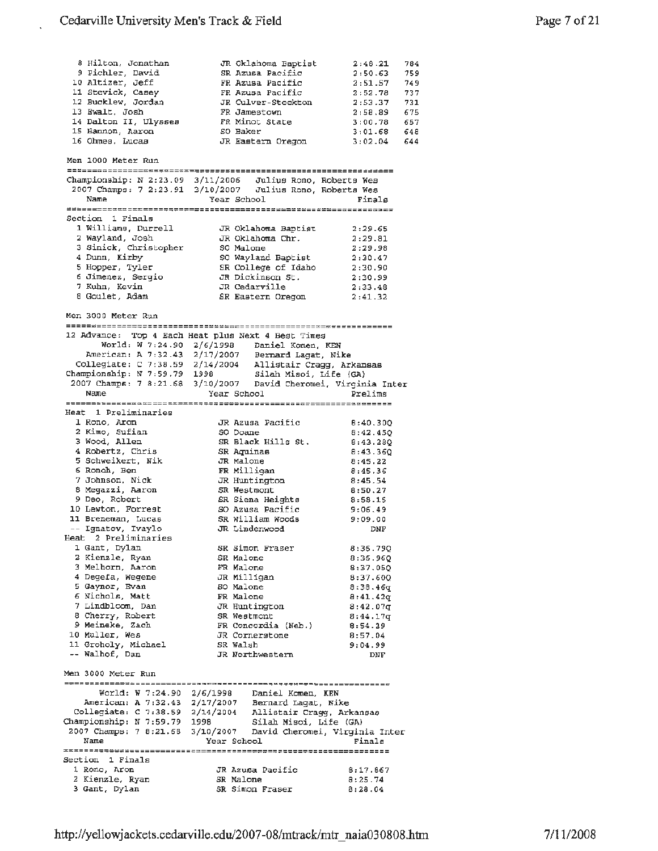JR Oklahoma Baptist 2:48 .21

784

8 Hilton, Jonathan

9 Pichler, David SR Azusa Pacific 2:50.63 759 10 Altizer, Jeff FR Azusa Pacific 2:51.57 749 11 Stevick, Casey FR Azusa Pacific 2:52.78 737 12 Bucklew, Jordan JR Culver-Stockton 2:53.37 731 13 Ewalt, Josh <sup>14</sup>Dalton II, Ulysses FR Jamestown 2:58.89 675 FR Minot State 3:00.78 657 15 Hannon, Aaron so Baker 3, 01. 68 648 JR Eastern Oregon 3:02.04 16 Ohmes, Lucas 644 Men 1000 Meter Run Championship: *N* 2:23.09 3/11/2006 Julius Rono, Roberts Wes 2007 Champs: 7 2:23.91 3/10/2007 Julius Rono, Roberta Wea Name Year School Finals Section 1 Finals 1 Williams, Durrell JR Oklahoma Baptist 2:29.65 2 Wayland, Josh JR Oklahoma Chr. 2 :29.81 so Malone 2:29.98 <sup>3</sup>Sinick, Christopher 4 Dunn, Kirby so Wayland Baptist 2:30.47 5 Hopper, Tyler SR College of Idaho 2:30.90 6 Jimenez, Sergio JR Dickinson St. 2:30.99 JR Cedarville 2:33.48 7 Kuhn, Kevin a Goulet, Adam SR Eastern Oregon 2:41.32 Men 3000 Meter Run =============~--================~~============================== 12 Advance: Top 4 Each Heat plus Next **4** Best Times World: **W** 7:24.90 2/6/1998 Daniel Komen, **KEN**  American: A 7:32.43 2/17/2007 Bernard Lagat, **Nike**  2/14/2004 Allistair Cragg, Arkansas Collegiate: C 7:38.59 Championship: N 7:59.79 1998 Silah Misoi, Life (GA) 2007 Champs: 7 8:21.68 3/10/2007 David Cheromei, Virginia Inter Year School **Prelims** Name and the second state of the second state of the second state of the second state of the second state of the second state of the second state of the second state of the second state of the second state of the second st Heat 1 Preliminaries JR Azusa Pacific 8:40.30Q 1 Rono, Aron so Doane 8:42.4SQ <sup>2</sup>**Kimo,** Sufian <sup>3</sup>Wood, Allen SR Black Hills St. 8:43.28Q <sup>4</sup>Robertz, Chris SR Aquinas 8:43.36Q 5 Schweikert, Nik JR Malone  $8:45.22$ 6 Ronoh, Ben **FR** Milligan 8:45.36 7 Johnson, Nick JR Huntington 8:45.54 8 Megazzi, Aaron SR Westmont 8:50.27 9 Deo, Robert SR Siena Heights **8:58.15**  10 Lewton, Forrest so Azusa Pacific 9:06.49 **11 Breneman,** Lucas SR William Woods 9:09.00 Ignatov, Ivaylo **JR** Linden wood **DNF**  Heat 2 Preliminaries l Gant, Dylan s<br>
SR Simon Fraser 8:36.79Q <sup>2</sup>Kienzle, Ryan SR Malone 8:36.96Q 3 Melhorn, Aaron FR Malone 8:37.0SQ JR Milligan 8:37.60Q **4** Degefa, Wegene 5 Gaynor, Evan  $so$  Malone  $8:38.46q$ 6 Nichols, Matt **FR** Malone 8:41.42q **JR** Huntington 8:42.07q 7 Lindbloom, Dan 8 Cherry, Robert SR Westmont  $8:44.17q$ <sup>9</sup>Meineke, Zach FR Concordia (Neb.) 8:54.29 10 Muller, Wes JR Cornerstone 8:57.04 11 Groholy, Michael SR Walsh 9:04.99 Walhof, Dan JR Northwestern DNF Men 3000 Meter Run World: **w** 7:24.90 2/6/1998 Daniel Kamen, **KEN**  American: **A** 7:32.43 2/17/2007 Bernard Lagat, Nike Collegiate: C 7:38.59 2/14/2004 Allistair Cragg, Arkansas Championship: N 7:59.79 1998 Silah Misoi, Life (GA) 3/10/2007 David Cheromei, Virginia Inter 2007 Champs: 7 8:21.6B Year School **Finals** Name Section 1 Finals 1 Rona, Aron JR Azusa Pacific 8:17.867 2 Kienzle, Ryan SR Malone 8:25.74 3 Gant, Dylan SR Simon Fraser 8:28.04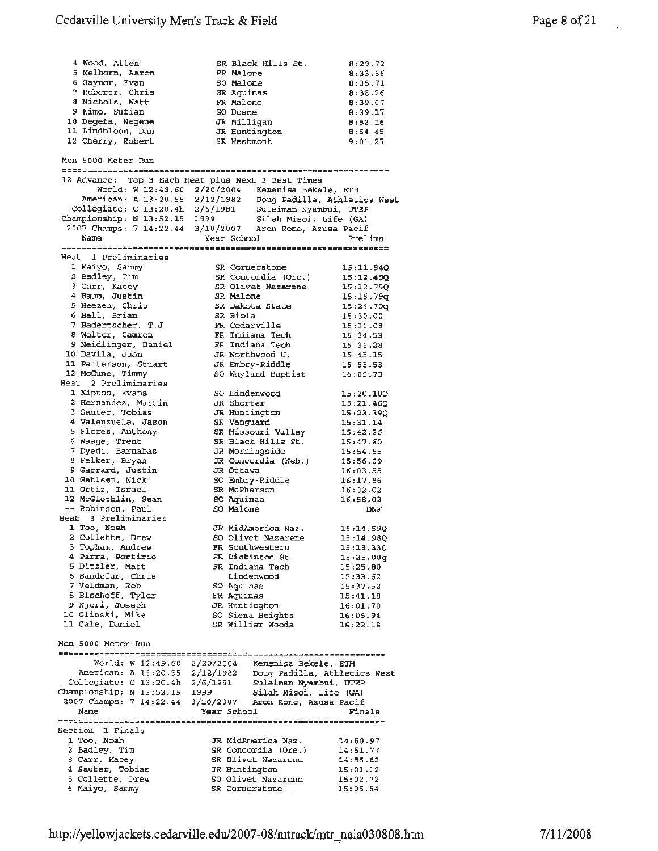| Men 5000 Meter Run<br>12 Advance: Top 3 Each Heat plus Next 3 Best Times<br>World: W 12:49.60 2/20/2004 Kenenisa Bekele, ETH<br>American: A 13:20.55 2/12/1982 Doug Padilla, Athletics West<br>Collegiate: C 13:20.4h 2/6/1981 Suleiman Nyambui, UTEP<br>Championship: N 13:52.15 1999 Silah Misoi, Life (GA)<br>2007 Champs: 7 14:22.44 3/10/2007 Aron Rono, Azusa Pacif<br>Year School<br>Name<br>Prelimp<br>Heat 1 Preliminaries<br>1 Maiyo, Sammy<br>SR Cornerstone<br>15:11.94Q<br>2 Badley, Tim<br>SR Concordia (Ore.)<br>15:12.49Q<br>3 Carr, Kacey<br>SR Olivet Nazarene<br>15:12.750<br>4 Baum, Justin<br>SR Malone<br>15:16.79q<br>5 Heezen, Chris<br>SR Dakota State<br>15:24.70q<br>6 Ball, Brian<br>SR Biola<br>15:30.00<br>7 Badertscher, T.J.<br>FR Cedarville<br>15:30.08<br>8 Walter, Camron<br>FR Indiana Tech<br>15:34.53<br>9 Neidlinger, Daniel<br>FR Indiana Tech<br>15:35.28<br>10 Davila, Juan<br>JR Northwood U.<br>15:43.15<br>11 Patterson, Stuart<br>JR Embry-Riddle<br>15:53.53<br>12 McCune, Timmy<br>SO Wayland Baptist<br>16:09.73<br>Heat 2 Preliminaries<br>1 Kiptoo, Evans<br>SO Lindenwood<br>15:20.10Q<br>2 Hernandez, Martin<br>JR Shorter<br>15:21.460<br>3 Sauter, Tobias<br>JR Huntington<br>15:23.39Q<br>4 Valenzuela, Jason<br>SR Vanguard<br>15:31.14<br>5 Flores, Anthony<br>SR Missouri Valley<br>15:42.26<br>6 Waage, Trent<br>SR Black Hills St.<br>15:47.60<br>7 Dyedi, Barnabas<br>JR Morningside<br>15:54.55<br>8 Felker, Bryan<br>JR Concordia (Neb.)<br>15:56.09<br>9 Garrard, Justin<br>JR Ottawa<br>16:03.55<br>10 Gehlsen, Nick<br>SO Embry-Riddle<br>16:17.86<br>11 Ortiz, Israel<br>SR McPherson<br>16:32.02<br>12 McGlothlin, Sean<br>SO Aquinaa<br>16:58.02<br>-- Robinson, Paul<br>SO Malone<br>DNF.<br>Heat 3 Preliminaries<br>1 Too, Noah<br>JR MidAmerica Naz.<br>15:14.590<br>2 Collette, Drew<br>SO Olivet Nazarene<br>15:14.98Q<br>3 Topham, Andrew<br>FR Southwestern<br>15:18.330<br>4 Parra, Porfirio<br>SR Dickinson St.<br>15:25.00q<br>5 Ditzler, Matt<br>FR Indiana Tech<br>15:25.80<br>6 Sandefur, Chris<br>Lindenwood<br>15:33.62<br>7 Veldman, Rob<br>SO Aquinas<br>15:37.52<br>8 Bischoff, Tyler<br>FR Aquinas<br>15:41.18<br>9 Njeri, Joseph<br>JR Huntington<br>16:01.70<br>10 Glinski, Mike<br>SO Siena Heights<br>16:06.94<br>11 Gale, Daniel<br>SR William Wooda<br>16:22.18<br>Men 5000 Meter Run<br>World: W 12:49.60 2/20/2004 Kenenisa Bekele, ETH<br>American: A 13:20.55 2/12/1982 Doug Padilla, Athletics West<br>Collegiate: C 13:20.4h 2/6/1981 Suleiman Nyambui, UTEP<br>Championship: N 13:52.15 1999<br>Silah Misoi, Life (GA)<br>2007 Champs: 7 14:22.44 3/10/2007 Aron Rono, Azusa Pacif<br>Name<br>Year School<br>Finals<br>Section 1 Finals<br>1 Too, Noah<br>JR MidAmerica Naz.<br>14:50.97<br>2 Badley, Tim<br>SR Concordia (Ore.)<br>14:51.77<br>3 Carr, Kacey<br>SR Olivet Nazarene<br>14:55.82<br>4 Sauter, Tobias<br>JR Huntington<br>15:01.12<br>50 Olivet Nazarene<br>5 Collette, Drew<br>15:02.72<br>6 Maiyo, Sammy<br>SR Cornerstone (1)<br>15:05.54 | 4 Wood, Allen<br>5 Melhorn, Aaron<br>6 Gaynor, Evan<br>7 Robertz, Chris<br>8 Nichols, Matt<br>9 Kimo, Sufian<br>10 Degefa, Wegene<br>11 Lindbloom, Dan<br>12 Cherry, Robert | SR Black Hills St.<br>FR Malone<br>SO Malone<br><b>SR Aquinas</b><br>FR Malone<br>SO Doane<br>JR Milligan<br>JR Huntington<br>SR Westmont | 8:29.72<br>8:33.56<br>8:35.71<br>8:38.26<br>8:39.07<br>8:39.17<br>8:52.16<br>8:54.45<br>9:01.27 |
|-------------------------------------------------------------------------------------------------------------------------------------------------------------------------------------------------------------------------------------------------------------------------------------------------------------------------------------------------------------------------------------------------------------------------------------------------------------------------------------------------------------------------------------------------------------------------------------------------------------------------------------------------------------------------------------------------------------------------------------------------------------------------------------------------------------------------------------------------------------------------------------------------------------------------------------------------------------------------------------------------------------------------------------------------------------------------------------------------------------------------------------------------------------------------------------------------------------------------------------------------------------------------------------------------------------------------------------------------------------------------------------------------------------------------------------------------------------------------------------------------------------------------------------------------------------------------------------------------------------------------------------------------------------------------------------------------------------------------------------------------------------------------------------------------------------------------------------------------------------------------------------------------------------------------------------------------------------------------------------------------------------------------------------------------------------------------------------------------------------------------------------------------------------------------------------------------------------------------------------------------------------------------------------------------------------------------------------------------------------------------------------------------------------------------------------------------------------------------------------------------------------------------------------------------------------------------------------------------------------------------------------------------------------------------------------------------------------------------------------------------------------------------------------------------------------------------------------------------------------------------------------------------------------------------------------------------------------------------------------------------------------------------------------------------------------------|-----------------------------------------------------------------------------------------------------------------------------------------------------------------------------|-------------------------------------------------------------------------------------------------------------------------------------------|-------------------------------------------------------------------------------------------------|
|                                                                                                                                                                                                                                                                                                                                                                                                                                                                                                                                                                                                                                                                                                                                                                                                                                                                                                                                                                                                                                                                                                                                                                                                                                                                                                                                                                                                                                                                                                                                                                                                                                                                                                                                                                                                                                                                                                                                                                                                                                                                                                                                                                                                                                                                                                                                                                                                                                                                                                                                                                                                                                                                                                                                                                                                                                                                                                                                                                                                                                                                   |                                                                                                                                                                             |                                                                                                                                           |                                                                                                 |
|                                                                                                                                                                                                                                                                                                                                                                                                                                                                                                                                                                                                                                                                                                                                                                                                                                                                                                                                                                                                                                                                                                                                                                                                                                                                                                                                                                                                                                                                                                                                                                                                                                                                                                                                                                                                                                                                                                                                                                                                                                                                                                                                                                                                                                                                                                                                                                                                                                                                                                                                                                                                                                                                                                                                                                                                                                                                                                                                                                                                                                                                   |                                                                                                                                                                             |                                                                                                                                           |                                                                                                 |
|                                                                                                                                                                                                                                                                                                                                                                                                                                                                                                                                                                                                                                                                                                                                                                                                                                                                                                                                                                                                                                                                                                                                                                                                                                                                                                                                                                                                                                                                                                                                                                                                                                                                                                                                                                                                                                                                                                                                                                                                                                                                                                                                                                                                                                                                                                                                                                                                                                                                                                                                                                                                                                                                                                                                                                                                                                                                                                                                                                                                                                                                   |                                                                                                                                                                             |                                                                                                                                           |                                                                                                 |
|                                                                                                                                                                                                                                                                                                                                                                                                                                                                                                                                                                                                                                                                                                                                                                                                                                                                                                                                                                                                                                                                                                                                                                                                                                                                                                                                                                                                                                                                                                                                                                                                                                                                                                                                                                                                                                                                                                                                                                                                                                                                                                                                                                                                                                                                                                                                                                                                                                                                                                                                                                                                                                                                                                                                                                                                                                                                                                                                                                                                                                                                   |                                                                                                                                                                             |                                                                                                                                           |                                                                                                 |
|                                                                                                                                                                                                                                                                                                                                                                                                                                                                                                                                                                                                                                                                                                                                                                                                                                                                                                                                                                                                                                                                                                                                                                                                                                                                                                                                                                                                                                                                                                                                                                                                                                                                                                                                                                                                                                                                                                                                                                                                                                                                                                                                                                                                                                                                                                                                                                                                                                                                                                                                                                                                                                                                                                                                                                                                                                                                                                                                                                                                                                                                   |                                                                                                                                                                             |                                                                                                                                           |                                                                                                 |
|                                                                                                                                                                                                                                                                                                                                                                                                                                                                                                                                                                                                                                                                                                                                                                                                                                                                                                                                                                                                                                                                                                                                                                                                                                                                                                                                                                                                                                                                                                                                                                                                                                                                                                                                                                                                                                                                                                                                                                                                                                                                                                                                                                                                                                                                                                                                                                                                                                                                                                                                                                                                                                                                                                                                                                                                                                                                                                                                                                                                                                                                   |                                                                                                                                                                             |                                                                                                                                           |                                                                                                 |
|                                                                                                                                                                                                                                                                                                                                                                                                                                                                                                                                                                                                                                                                                                                                                                                                                                                                                                                                                                                                                                                                                                                                                                                                                                                                                                                                                                                                                                                                                                                                                                                                                                                                                                                                                                                                                                                                                                                                                                                                                                                                                                                                                                                                                                                                                                                                                                                                                                                                                                                                                                                                                                                                                                                                                                                                                                                                                                                                                                                                                                                                   |                                                                                                                                                                             |                                                                                                                                           |                                                                                                 |
|                                                                                                                                                                                                                                                                                                                                                                                                                                                                                                                                                                                                                                                                                                                                                                                                                                                                                                                                                                                                                                                                                                                                                                                                                                                                                                                                                                                                                                                                                                                                                                                                                                                                                                                                                                                                                                                                                                                                                                                                                                                                                                                                                                                                                                                                                                                                                                                                                                                                                                                                                                                                                                                                                                                                                                                                                                                                                                                                                                                                                                                                   |                                                                                                                                                                             |                                                                                                                                           |                                                                                                 |
|                                                                                                                                                                                                                                                                                                                                                                                                                                                                                                                                                                                                                                                                                                                                                                                                                                                                                                                                                                                                                                                                                                                                                                                                                                                                                                                                                                                                                                                                                                                                                                                                                                                                                                                                                                                                                                                                                                                                                                                                                                                                                                                                                                                                                                                                                                                                                                                                                                                                                                                                                                                                                                                                                                                                                                                                                                                                                                                                                                                                                                                                   |                                                                                                                                                                             |                                                                                                                                           |                                                                                                 |
|                                                                                                                                                                                                                                                                                                                                                                                                                                                                                                                                                                                                                                                                                                                                                                                                                                                                                                                                                                                                                                                                                                                                                                                                                                                                                                                                                                                                                                                                                                                                                                                                                                                                                                                                                                                                                                                                                                                                                                                                                                                                                                                                                                                                                                                                                                                                                                                                                                                                                                                                                                                                                                                                                                                                                                                                                                                                                                                                                                                                                                                                   |                                                                                                                                                                             |                                                                                                                                           |                                                                                                 |
|                                                                                                                                                                                                                                                                                                                                                                                                                                                                                                                                                                                                                                                                                                                                                                                                                                                                                                                                                                                                                                                                                                                                                                                                                                                                                                                                                                                                                                                                                                                                                                                                                                                                                                                                                                                                                                                                                                                                                                                                                                                                                                                                                                                                                                                                                                                                                                                                                                                                                                                                                                                                                                                                                                                                                                                                                                                                                                                                                                                                                                                                   |                                                                                                                                                                             |                                                                                                                                           |                                                                                                 |
|                                                                                                                                                                                                                                                                                                                                                                                                                                                                                                                                                                                                                                                                                                                                                                                                                                                                                                                                                                                                                                                                                                                                                                                                                                                                                                                                                                                                                                                                                                                                                                                                                                                                                                                                                                                                                                                                                                                                                                                                                                                                                                                                                                                                                                                                                                                                                                                                                                                                                                                                                                                                                                                                                                                                                                                                                                                                                                                                                                                                                                                                   |                                                                                                                                                                             |                                                                                                                                           |                                                                                                 |
|                                                                                                                                                                                                                                                                                                                                                                                                                                                                                                                                                                                                                                                                                                                                                                                                                                                                                                                                                                                                                                                                                                                                                                                                                                                                                                                                                                                                                                                                                                                                                                                                                                                                                                                                                                                                                                                                                                                                                                                                                                                                                                                                                                                                                                                                                                                                                                                                                                                                                                                                                                                                                                                                                                                                                                                                                                                                                                                                                                                                                                                                   |                                                                                                                                                                             |                                                                                                                                           |                                                                                                 |
|                                                                                                                                                                                                                                                                                                                                                                                                                                                                                                                                                                                                                                                                                                                                                                                                                                                                                                                                                                                                                                                                                                                                                                                                                                                                                                                                                                                                                                                                                                                                                                                                                                                                                                                                                                                                                                                                                                                                                                                                                                                                                                                                                                                                                                                                                                                                                                                                                                                                                                                                                                                                                                                                                                                                                                                                                                                                                                                                                                                                                                                                   |                                                                                                                                                                             |                                                                                                                                           |                                                                                                 |
|                                                                                                                                                                                                                                                                                                                                                                                                                                                                                                                                                                                                                                                                                                                                                                                                                                                                                                                                                                                                                                                                                                                                                                                                                                                                                                                                                                                                                                                                                                                                                                                                                                                                                                                                                                                                                                                                                                                                                                                                                                                                                                                                                                                                                                                                                                                                                                                                                                                                                                                                                                                                                                                                                                                                                                                                                                                                                                                                                                                                                                                                   |                                                                                                                                                                             |                                                                                                                                           |                                                                                                 |
|                                                                                                                                                                                                                                                                                                                                                                                                                                                                                                                                                                                                                                                                                                                                                                                                                                                                                                                                                                                                                                                                                                                                                                                                                                                                                                                                                                                                                                                                                                                                                                                                                                                                                                                                                                                                                                                                                                                                                                                                                                                                                                                                                                                                                                                                                                                                                                                                                                                                                                                                                                                                                                                                                                                                                                                                                                                                                                                                                                                                                                                                   |                                                                                                                                                                             |                                                                                                                                           |                                                                                                 |
|                                                                                                                                                                                                                                                                                                                                                                                                                                                                                                                                                                                                                                                                                                                                                                                                                                                                                                                                                                                                                                                                                                                                                                                                                                                                                                                                                                                                                                                                                                                                                                                                                                                                                                                                                                                                                                                                                                                                                                                                                                                                                                                                                                                                                                                                                                                                                                                                                                                                                                                                                                                                                                                                                                                                                                                                                                                                                                                                                                                                                                                                   |                                                                                                                                                                             |                                                                                                                                           |                                                                                                 |
|                                                                                                                                                                                                                                                                                                                                                                                                                                                                                                                                                                                                                                                                                                                                                                                                                                                                                                                                                                                                                                                                                                                                                                                                                                                                                                                                                                                                                                                                                                                                                                                                                                                                                                                                                                                                                                                                                                                                                                                                                                                                                                                                                                                                                                                                                                                                                                                                                                                                                                                                                                                                                                                                                                                                                                                                                                                                                                                                                                                                                                                                   |                                                                                                                                                                             |                                                                                                                                           |                                                                                                 |
|                                                                                                                                                                                                                                                                                                                                                                                                                                                                                                                                                                                                                                                                                                                                                                                                                                                                                                                                                                                                                                                                                                                                                                                                                                                                                                                                                                                                                                                                                                                                                                                                                                                                                                                                                                                                                                                                                                                                                                                                                                                                                                                                                                                                                                                                                                                                                                                                                                                                                                                                                                                                                                                                                                                                                                                                                                                                                                                                                                                                                                                                   |                                                                                                                                                                             |                                                                                                                                           |                                                                                                 |
|                                                                                                                                                                                                                                                                                                                                                                                                                                                                                                                                                                                                                                                                                                                                                                                                                                                                                                                                                                                                                                                                                                                                                                                                                                                                                                                                                                                                                                                                                                                                                                                                                                                                                                                                                                                                                                                                                                                                                                                                                                                                                                                                                                                                                                                                                                                                                                                                                                                                                                                                                                                                                                                                                                                                                                                                                                                                                                                                                                                                                                                                   |                                                                                                                                                                             |                                                                                                                                           |                                                                                                 |
|                                                                                                                                                                                                                                                                                                                                                                                                                                                                                                                                                                                                                                                                                                                                                                                                                                                                                                                                                                                                                                                                                                                                                                                                                                                                                                                                                                                                                                                                                                                                                                                                                                                                                                                                                                                                                                                                                                                                                                                                                                                                                                                                                                                                                                                                                                                                                                                                                                                                                                                                                                                                                                                                                                                                                                                                                                                                                                                                                                                                                                                                   |                                                                                                                                                                             |                                                                                                                                           |                                                                                                 |
|                                                                                                                                                                                                                                                                                                                                                                                                                                                                                                                                                                                                                                                                                                                                                                                                                                                                                                                                                                                                                                                                                                                                                                                                                                                                                                                                                                                                                                                                                                                                                                                                                                                                                                                                                                                                                                                                                                                                                                                                                                                                                                                                                                                                                                                                                                                                                                                                                                                                                                                                                                                                                                                                                                                                                                                                                                                                                                                                                                                                                                                                   |                                                                                                                                                                             |                                                                                                                                           |                                                                                                 |
|                                                                                                                                                                                                                                                                                                                                                                                                                                                                                                                                                                                                                                                                                                                                                                                                                                                                                                                                                                                                                                                                                                                                                                                                                                                                                                                                                                                                                                                                                                                                                                                                                                                                                                                                                                                                                                                                                                                                                                                                                                                                                                                                                                                                                                                                                                                                                                                                                                                                                                                                                                                                                                                                                                                                                                                                                                                                                                                                                                                                                                                                   |                                                                                                                                                                             |                                                                                                                                           |                                                                                                 |
|                                                                                                                                                                                                                                                                                                                                                                                                                                                                                                                                                                                                                                                                                                                                                                                                                                                                                                                                                                                                                                                                                                                                                                                                                                                                                                                                                                                                                                                                                                                                                                                                                                                                                                                                                                                                                                                                                                                                                                                                                                                                                                                                                                                                                                                                                                                                                                                                                                                                                                                                                                                                                                                                                                                                                                                                                                                                                                                                                                                                                                                                   |                                                                                                                                                                             |                                                                                                                                           |                                                                                                 |
|                                                                                                                                                                                                                                                                                                                                                                                                                                                                                                                                                                                                                                                                                                                                                                                                                                                                                                                                                                                                                                                                                                                                                                                                                                                                                                                                                                                                                                                                                                                                                                                                                                                                                                                                                                                                                                                                                                                                                                                                                                                                                                                                                                                                                                                                                                                                                                                                                                                                                                                                                                                                                                                                                                                                                                                                                                                                                                                                                                                                                                                                   |                                                                                                                                                                             |                                                                                                                                           |                                                                                                 |
|                                                                                                                                                                                                                                                                                                                                                                                                                                                                                                                                                                                                                                                                                                                                                                                                                                                                                                                                                                                                                                                                                                                                                                                                                                                                                                                                                                                                                                                                                                                                                                                                                                                                                                                                                                                                                                                                                                                                                                                                                                                                                                                                                                                                                                                                                                                                                                                                                                                                                                                                                                                                                                                                                                                                                                                                                                                                                                                                                                                                                                                                   |                                                                                                                                                                             |                                                                                                                                           |                                                                                                 |
|                                                                                                                                                                                                                                                                                                                                                                                                                                                                                                                                                                                                                                                                                                                                                                                                                                                                                                                                                                                                                                                                                                                                                                                                                                                                                                                                                                                                                                                                                                                                                                                                                                                                                                                                                                                                                                                                                                                                                                                                                                                                                                                                                                                                                                                                                                                                                                                                                                                                                                                                                                                                                                                                                                                                                                                                                                                                                                                                                                                                                                                                   |                                                                                                                                                                             |                                                                                                                                           |                                                                                                 |
|                                                                                                                                                                                                                                                                                                                                                                                                                                                                                                                                                                                                                                                                                                                                                                                                                                                                                                                                                                                                                                                                                                                                                                                                                                                                                                                                                                                                                                                                                                                                                                                                                                                                                                                                                                                                                                                                                                                                                                                                                                                                                                                                                                                                                                                                                                                                                                                                                                                                                                                                                                                                                                                                                                                                                                                                                                                                                                                                                                                                                                                                   |                                                                                                                                                                             |                                                                                                                                           |                                                                                                 |
|                                                                                                                                                                                                                                                                                                                                                                                                                                                                                                                                                                                                                                                                                                                                                                                                                                                                                                                                                                                                                                                                                                                                                                                                                                                                                                                                                                                                                                                                                                                                                                                                                                                                                                                                                                                                                                                                                                                                                                                                                                                                                                                                                                                                                                                                                                                                                                                                                                                                                                                                                                                                                                                                                                                                                                                                                                                                                                                                                                                                                                                                   |                                                                                                                                                                             |                                                                                                                                           |                                                                                                 |
|                                                                                                                                                                                                                                                                                                                                                                                                                                                                                                                                                                                                                                                                                                                                                                                                                                                                                                                                                                                                                                                                                                                                                                                                                                                                                                                                                                                                                                                                                                                                                                                                                                                                                                                                                                                                                                                                                                                                                                                                                                                                                                                                                                                                                                                                                                                                                                                                                                                                                                                                                                                                                                                                                                                                                                                                                                                                                                                                                                                                                                                                   |                                                                                                                                                                             |                                                                                                                                           |                                                                                                 |
|                                                                                                                                                                                                                                                                                                                                                                                                                                                                                                                                                                                                                                                                                                                                                                                                                                                                                                                                                                                                                                                                                                                                                                                                                                                                                                                                                                                                                                                                                                                                                                                                                                                                                                                                                                                                                                                                                                                                                                                                                                                                                                                                                                                                                                                                                                                                                                                                                                                                                                                                                                                                                                                                                                                                                                                                                                                                                                                                                                                                                                                                   |                                                                                                                                                                             |                                                                                                                                           |                                                                                                 |
|                                                                                                                                                                                                                                                                                                                                                                                                                                                                                                                                                                                                                                                                                                                                                                                                                                                                                                                                                                                                                                                                                                                                                                                                                                                                                                                                                                                                                                                                                                                                                                                                                                                                                                                                                                                                                                                                                                                                                                                                                                                                                                                                                                                                                                                                                                                                                                                                                                                                                                                                                                                                                                                                                                                                                                                                                                                                                                                                                                                                                                                                   |                                                                                                                                                                             |                                                                                                                                           |                                                                                                 |
|                                                                                                                                                                                                                                                                                                                                                                                                                                                                                                                                                                                                                                                                                                                                                                                                                                                                                                                                                                                                                                                                                                                                                                                                                                                                                                                                                                                                                                                                                                                                                                                                                                                                                                                                                                                                                                                                                                                                                                                                                                                                                                                                                                                                                                                                                                                                                                                                                                                                                                                                                                                                                                                                                                                                                                                                                                                                                                                                                                                                                                                                   |                                                                                                                                                                             |                                                                                                                                           |                                                                                                 |
|                                                                                                                                                                                                                                                                                                                                                                                                                                                                                                                                                                                                                                                                                                                                                                                                                                                                                                                                                                                                                                                                                                                                                                                                                                                                                                                                                                                                                                                                                                                                                                                                                                                                                                                                                                                                                                                                                                                                                                                                                                                                                                                                                                                                                                                                                                                                                                                                                                                                                                                                                                                                                                                                                                                                                                                                                                                                                                                                                                                                                                                                   |                                                                                                                                                                             |                                                                                                                                           |                                                                                                 |
|                                                                                                                                                                                                                                                                                                                                                                                                                                                                                                                                                                                                                                                                                                                                                                                                                                                                                                                                                                                                                                                                                                                                                                                                                                                                                                                                                                                                                                                                                                                                                                                                                                                                                                                                                                                                                                                                                                                                                                                                                                                                                                                                                                                                                                                                                                                                                                                                                                                                                                                                                                                                                                                                                                                                                                                                                                                                                                                                                                                                                                                                   |                                                                                                                                                                             |                                                                                                                                           |                                                                                                 |
|                                                                                                                                                                                                                                                                                                                                                                                                                                                                                                                                                                                                                                                                                                                                                                                                                                                                                                                                                                                                                                                                                                                                                                                                                                                                                                                                                                                                                                                                                                                                                                                                                                                                                                                                                                                                                                                                                                                                                                                                                                                                                                                                                                                                                                                                                                                                                                                                                                                                                                                                                                                                                                                                                                                                                                                                                                                                                                                                                                                                                                                                   |                                                                                                                                                                             |                                                                                                                                           |                                                                                                 |
|                                                                                                                                                                                                                                                                                                                                                                                                                                                                                                                                                                                                                                                                                                                                                                                                                                                                                                                                                                                                                                                                                                                                                                                                                                                                                                                                                                                                                                                                                                                                                                                                                                                                                                                                                                                                                                                                                                                                                                                                                                                                                                                                                                                                                                                                                                                                                                                                                                                                                                                                                                                                                                                                                                                                                                                                                                                                                                                                                                                                                                                                   |                                                                                                                                                                             |                                                                                                                                           |                                                                                                 |
|                                                                                                                                                                                                                                                                                                                                                                                                                                                                                                                                                                                                                                                                                                                                                                                                                                                                                                                                                                                                                                                                                                                                                                                                                                                                                                                                                                                                                                                                                                                                                                                                                                                                                                                                                                                                                                                                                                                                                                                                                                                                                                                                                                                                                                                                                                                                                                                                                                                                                                                                                                                                                                                                                                                                                                                                                                                                                                                                                                                                                                                                   |                                                                                                                                                                             |                                                                                                                                           |                                                                                                 |
|                                                                                                                                                                                                                                                                                                                                                                                                                                                                                                                                                                                                                                                                                                                                                                                                                                                                                                                                                                                                                                                                                                                                                                                                                                                                                                                                                                                                                                                                                                                                                                                                                                                                                                                                                                                                                                                                                                                                                                                                                                                                                                                                                                                                                                                                                                                                                                                                                                                                                                                                                                                                                                                                                                                                                                                                                                                                                                                                                                                                                                                                   |                                                                                                                                                                             |                                                                                                                                           |                                                                                                 |
|                                                                                                                                                                                                                                                                                                                                                                                                                                                                                                                                                                                                                                                                                                                                                                                                                                                                                                                                                                                                                                                                                                                                                                                                                                                                                                                                                                                                                                                                                                                                                                                                                                                                                                                                                                                                                                                                                                                                                                                                                                                                                                                                                                                                                                                                                                                                                                                                                                                                                                                                                                                                                                                                                                                                                                                                                                                                                                                                                                                                                                                                   |                                                                                                                                                                             |                                                                                                                                           |                                                                                                 |
|                                                                                                                                                                                                                                                                                                                                                                                                                                                                                                                                                                                                                                                                                                                                                                                                                                                                                                                                                                                                                                                                                                                                                                                                                                                                                                                                                                                                                                                                                                                                                                                                                                                                                                                                                                                                                                                                                                                                                                                                                                                                                                                                                                                                                                                                                                                                                                                                                                                                                                                                                                                                                                                                                                                                                                                                                                                                                                                                                                                                                                                                   |                                                                                                                                                                             |                                                                                                                                           |                                                                                                 |
|                                                                                                                                                                                                                                                                                                                                                                                                                                                                                                                                                                                                                                                                                                                                                                                                                                                                                                                                                                                                                                                                                                                                                                                                                                                                                                                                                                                                                                                                                                                                                                                                                                                                                                                                                                                                                                                                                                                                                                                                                                                                                                                                                                                                                                                                                                                                                                                                                                                                                                                                                                                                                                                                                                                                                                                                                                                                                                                                                                                                                                                                   |                                                                                                                                                                             |                                                                                                                                           |                                                                                                 |
|                                                                                                                                                                                                                                                                                                                                                                                                                                                                                                                                                                                                                                                                                                                                                                                                                                                                                                                                                                                                                                                                                                                                                                                                                                                                                                                                                                                                                                                                                                                                                                                                                                                                                                                                                                                                                                                                                                                                                                                                                                                                                                                                                                                                                                                                                                                                                                                                                                                                                                                                                                                                                                                                                                                                                                                                                                                                                                                                                                                                                                                                   |                                                                                                                                                                             |                                                                                                                                           |                                                                                                 |
|                                                                                                                                                                                                                                                                                                                                                                                                                                                                                                                                                                                                                                                                                                                                                                                                                                                                                                                                                                                                                                                                                                                                                                                                                                                                                                                                                                                                                                                                                                                                                                                                                                                                                                                                                                                                                                                                                                                                                                                                                                                                                                                                                                                                                                                                                                                                                                                                                                                                                                                                                                                                                                                                                                                                                                                                                                                                                                                                                                                                                                                                   |                                                                                                                                                                             |                                                                                                                                           |                                                                                                 |
|                                                                                                                                                                                                                                                                                                                                                                                                                                                                                                                                                                                                                                                                                                                                                                                                                                                                                                                                                                                                                                                                                                                                                                                                                                                                                                                                                                                                                                                                                                                                                                                                                                                                                                                                                                                                                                                                                                                                                                                                                                                                                                                                                                                                                                                                                                                                                                                                                                                                                                                                                                                                                                                                                                                                                                                                                                                                                                                                                                                                                                                                   |                                                                                                                                                                             |                                                                                                                                           |                                                                                                 |
|                                                                                                                                                                                                                                                                                                                                                                                                                                                                                                                                                                                                                                                                                                                                                                                                                                                                                                                                                                                                                                                                                                                                                                                                                                                                                                                                                                                                                                                                                                                                                                                                                                                                                                                                                                                                                                                                                                                                                                                                                                                                                                                                                                                                                                                                                                                                                                                                                                                                                                                                                                                                                                                                                                                                                                                                                                                                                                                                                                                                                                                                   |                                                                                                                                                                             |                                                                                                                                           |                                                                                                 |
|                                                                                                                                                                                                                                                                                                                                                                                                                                                                                                                                                                                                                                                                                                                                                                                                                                                                                                                                                                                                                                                                                                                                                                                                                                                                                                                                                                                                                                                                                                                                                                                                                                                                                                                                                                                                                                                                                                                                                                                                                                                                                                                                                                                                                                                                                                                                                                                                                                                                                                                                                                                                                                                                                                                                                                                                                                                                                                                                                                                                                                                                   |                                                                                                                                                                             |                                                                                                                                           |                                                                                                 |
|                                                                                                                                                                                                                                                                                                                                                                                                                                                                                                                                                                                                                                                                                                                                                                                                                                                                                                                                                                                                                                                                                                                                                                                                                                                                                                                                                                                                                                                                                                                                                                                                                                                                                                                                                                                                                                                                                                                                                                                                                                                                                                                                                                                                                                                                                                                                                                                                                                                                                                                                                                                                                                                                                                                                                                                                                                                                                                                                                                                                                                                                   |                                                                                                                                                                             |                                                                                                                                           |                                                                                                 |
|                                                                                                                                                                                                                                                                                                                                                                                                                                                                                                                                                                                                                                                                                                                                                                                                                                                                                                                                                                                                                                                                                                                                                                                                                                                                                                                                                                                                                                                                                                                                                                                                                                                                                                                                                                                                                                                                                                                                                                                                                                                                                                                                                                                                                                                                                                                                                                                                                                                                                                                                                                                                                                                                                                                                                                                                                                                                                                                                                                                                                                                                   |                                                                                                                                                                             |                                                                                                                                           |                                                                                                 |
|                                                                                                                                                                                                                                                                                                                                                                                                                                                                                                                                                                                                                                                                                                                                                                                                                                                                                                                                                                                                                                                                                                                                                                                                                                                                                                                                                                                                                                                                                                                                                                                                                                                                                                                                                                                                                                                                                                                                                                                                                                                                                                                                                                                                                                                                                                                                                                                                                                                                                                                                                                                                                                                                                                                                                                                                                                                                                                                                                                                                                                                                   |                                                                                                                                                                             |                                                                                                                                           |                                                                                                 |
|                                                                                                                                                                                                                                                                                                                                                                                                                                                                                                                                                                                                                                                                                                                                                                                                                                                                                                                                                                                                                                                                                                                                                                                                                                                                                                                                                                                                                                                                                                                                                                                                                                                                                                                                                                                                                                                                                                                                                                                                                                                                                                                                                                                                                                                                                                                                                                                                                                                                                                                                                                                                                                                                                                                                                                                                                                                                                                                                                                                                                                                                   |                                                                                                                                                                             |                                                                                                                                           |                                                                                                 |
|                                                                                                                                                                                                                                                                                                                                                                                                                                                                                                                                                                                                                                                                                                                                                                                                                                                                                                                                                                                                                                                                                                                                                                                                                                                                                                                                                                                                                                                                                                                                                                                                                                                                                                                                                                                                                                                                                                                                                                                                                                                                                                                                                                                                                                                                                                                                                                                                                                                                                                                                                                                                                                                                                                                                                                                                                                                                                                                                                                                                                                                                   |                                                                                                                                                                             |                                                                                                                                           |                                                                                                 |
|                                                                                                                                                                                                                                                                                                                                                                                                                                                                                                                                                                                                                                                                                                                                                                                                                                                                                                                                                                                                                                                                                                                                                                                                                                                                                                                                                                                                                                                                                                                                                                                                                                                                                                                                                                                                                                                                                                                                                                                                                                                                                                                                                                                                                                                                                                                                                                                                                                                                                                                                                                                                                                                                                                                                                                                                                                                                                                                                                                                                                                                                   |                                                                                                                                                                             |                                                                                                                                           |                                                                                                 |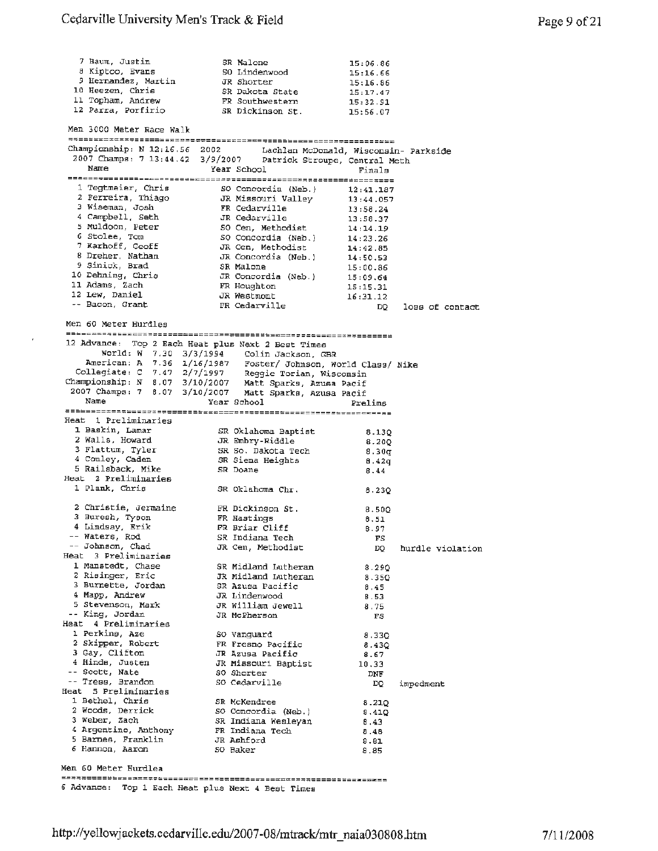$\epsilon$ 

| 7 Baum, Justin                                                                                                                                                                   | SR Malone                               | 15:06.86             |                  |
|----------------------------------------------------------------------------------------------------------------------------------------------------------------------------------|-----------------------------------------|----------------------|------------------|
| 8 Kiptoo, Evans                                                                                                                                                                  | SO Lindenwood                           | 15:16.66             |                  |
| 9 Hernandez, Martin                                                                                                                                                              | JR Shorter                              | 15:16.86             |                  |
| 10 Heezen, Chris<br>11 Topham, Andrew                                                                                                                                            | SR Dakota State                         | 15:17.47             |                  |
| 12 Parra, Porfirio                                                                                                                                                               | FR Southwestern<br>SR Dickinson St.     | 15:32.91             |                  |
|                                                                                                                                                                                  |                                         | 15:56.07             |                  |
| Men 3000 Meter Race Walk                                                                                                                                                         |                                         |                      |                  |
| Championship: N 12:16.56 2002 Lachlan McDonald, Wisconsin- Parkside                                                                                                              |                                         |                      |                  |
| 2007 Champs: 7 13:44.42 3/9/2007 Patrick Stroupe, Central Meth                                                                                                                   |                                         |                      |                  |
| Name                                                                                                                                                                             | Year School                             | Finals               |                  |
|                                                                                                                                                                                  |                                         |                      |                  |
| 1 Tegtmeier, Chris                                                                                                                                                               | SO Concordia (Neb.)                     | 12:41.187            |                  |
| 2 Ferreira, Thiago                                                                                                                                                               | JR Missouri Valley                      | 13:44.057            |                  |
| 3 Wiseman, Josh<br>4 Campbell, Seth                                                                                                                                              | FR Cedarville                           | 13:58.24             |                  |
| 5 Muldoon, Peter                                                                                                                                                                 | JR Cedarville<br>SO Cen, Methodist      | 13:58.37<br>14:14.19 |                  |
| 6 Stolee, Tom                                                                                                                                                                    | SO Concordia (Neb.)                     | 14:23.26             |                  |
| 7 Karhoff, Geoff                                                                                                                                                                 | JR Cen, Methodist                       | 14:42.85             |                  |
| 8 Dreher, Nathan                                                                                                                                                                 | JR Concordia (Neb.)                     | 14:50.53             |                  |
| 9 Sinick, Brad                                                                                                                                                                   | SR Malone                               | 15:00.86             |                  |
| 10 Dehning, Chris                                                                                                                                                                | JR Concordia (Neb.)                     | 15:09.64             |                  |
| 11 Adams, Zach                                                                                                                                                                   | FR Houghton                             | 15:15.31             |                  |
| 12 Lew, Daniel                                                                                                                                                                   | JR Westmont                             | 16:31.12             |                  |
| -- Bacon, Grant                                                                                                                                                                  | FR Cedarville                           | DQ                   | loss of contact  |
| Men 60 Meter Hurdles                                                                                                                                                             |                                         |                      |                  |
|                                                                                                                                                                                  |                                         |                      |                  |
| 12 Advance: Top 2 Each Heat plus Next 2 Best Times                                                                                                                               |                                         |                      |                  |
| World: W 7.30 3/3/1994 Colin Jackson, GBR                                                                                                                                        |                                         |                      |                  |
| American: A 7.36 1/16/1987 Foster/ Johnson, World Class/ Nike<br>Collegiate: C 7.47 2/7/1997 Reggie Torian, Wisconsin<br>Championship: N 8.07 3/10/2007 Matt Sparks, Azusa Pacif |                                         |                      |                  |
|                                                                                                                                                                                  |                                         |                      |                  |
|                                                                                                                                                                                  |                                         |                      |                  |
| 2007 Champs: 7 8.07 3/10/2007 Matt Sparks, Azusa Pacif                                                                                                                           |                                         |                      |                  |
| Name                                                                                                                                                                             | Year School                             | Prelims              |                  |
| Heat 1 Preliminaries                                                                                                                                                             |                                         |                      |                  |
| 1 Baskin, Lamar                                                                                                                                                                  | SR Oklahoma Baptist                     | 8.13Q                |                  |
| 2 Walls, Howard                                                                                                                                                                  | JR Embry-Riddle                         | 8.200                |                  |
| 3 Flattum, Tyler                                                                                                                                                                 | SR So. Dakota Tech                      | 8.30 <sub>q</sub>    |                  |
| 4 Comley, Caden                                                                                                                                                                  | SR Siena Heights                        | 8.42q                |                  |
| 5 Railsback, Mike                                                                                                                                                                | SR Doane                                | 8.44                 |                  |
| Heat 2 Preliminaries<br>1 Plank, Chris                                                                                                                                           |                                         |                      |                  |
|                                                                                                                                                                                  | SR Oklahoma Chr.                        | 8.230                |                  |
| 2 Christie, Jermaine                                                                                                                                                             | FR Dickinson St.                        | 8.500                |                  |
| 3 Buresh, Tyson                                                                                                                                                                  | FR Hastings                             | 8.51                 |                  |
| 4 Lindsay, Erik                                                                                                                                                                  | FR Briar Cliff                          | 8.97                 |                  |
| -- Waters, Rod                                                                                                                                                                   | SR Indiana Tech                         | FS                   |                  |
| -- Johnson, Chad                                                                                                                                                                 | JR Cen, Methodist                       | DQ                   | hurdle violation |
| Heat 3 Preliminaries                                                                                                                                                             |                                         |                      |                  |
| 1 Manstedt, Chase<br>2 Risinger, Eric                                                                                                                                            | SR Midland Lutheran                     | 8.290                |                  |
| 3 Burnette, Jordan                                                                                                                                                               | JR Midland Lutheran<br>SR Azusa Pacific | 8.35Q                |                  |
| 4 Mapp, Andrew                                                                                                                                                                   | JR Lindenwood                           | 8.45<br><b>B.53</b>  |                  |
| 5 Stevenson, Mark                                                                                                                                                                | JR William Jewell                       | 8.75                 |                  |
| -- King, Jordan                                                                                                                                                                  | JR McPherson                            | FS                   |                  |
| Heat 4 Preliminaries                                                                                                                                                             |                                         |                      |                  |
| 1 Perkins, Aze                                                                                                                                                                   | SO Vanguard                             | 8.330                |                  |
| 2 Skipper, Robert                                                                                                                                                                | FR Fresno Pacific                       | 8.430                |                  |
| 3 Gay, Clifton                                                                                                                                                                   | JR Azusa Pacific                        | 8.67                 |                  |
| 4 Hinds, Justen<br>-- Scott, Nate                                                                                                                                                | JR Missouri Baptist<br>SO Shorter       | 10.33                |                  |
| -- Tress, Brandon                                                                                                                                                                | SO Cedarville                           | DNF                  |                  |
| Heat 5 Preliminaries                                                                                                                                                             |                                         | DQ.                  | impedment        |
| 1 Bethel, Chris                                                                                                                                                                  | SR McKendree                            | 8.21Q                |                  |
| 2 Woods, Derrick                                                                                                                                                                 | SO Concordia (Neb.)                     | 8.41Q                |                  |
| 3 Weber, Zach                                                                                                                                                                    | SR Indiana Wesleyan                     | 8.43                 |                  |
| 4 Argentino, Anthony                                                                                                                                                             | FR Indiana Tech                         | 8.48                 |                  |
| 5 Barnes, Franklin                                                                                                                                                               | JR Ashford                              | 8.81                 |                  |
| 6 Hannon, Aaron                                                                                                                                                                  | 50 Baker                                | 8.85                 |                  |
| Men 60 Meter Hurdlea                                                                                                                                                             |                                         |                      |                  |
|                                                                                                                                                                                  |                                         |                      |                  |
| 6 Advance: Top 1 Each Heat plus Next 4 Best Times                                                                                                                                |                                         |                      |                  |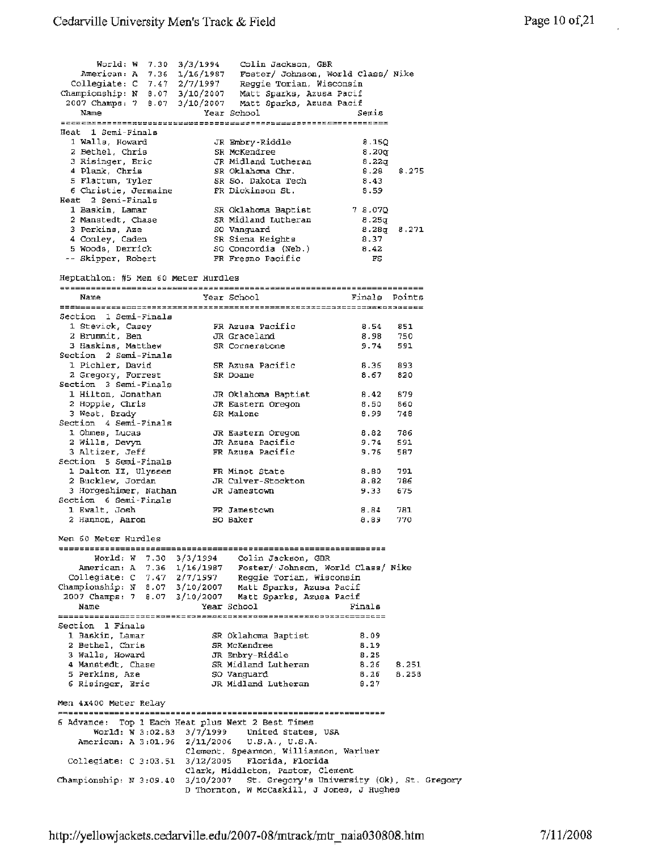$Word: W = 7.30 = 3/3/1994$  Colin Jackson, GBR American: A 7.36 1/16/1987 Foster/ Johnson, world Class/ Nike Collegiate: C 7. 47 2/7/1997 Reggie Torian, Wisconsin Championship: N 8.07 3/10/2007 Matt Sparks, Azusa Pacif 2007 Champs: 7 8.07 3/10/2007 Matt Sparks, Azusa Pacif Name Year School Semis Heat 1 Semi-Finals 1 Walls, Howard JR Embry-Riddle 8.lSQ 2 Bethel, Chris SR McKendree 8.20q 3 Risinger, Eric JR Midland Lutheran 8.22q 4 Plank, Chris SR Oklahoma Chr. 8.28 8.275 5 Flattum, Tyler SR So. Dakota Tech 8.43 *<sup>6</sup>*Christie, Jermaine FR Dickinson St. 8.59 Heat 2 Semi-Finals 1 Baskin, Lamar SR Oklahoma Baptist 7 8.07Q 2 Manstedt, Chase SR Midland Lutheran 8.25q  $3$  Perkins, Aze  $3$  SO Vanguard  $8.28q$   $8.271$ 4 Conley, Caden SR Siena Heights 8.37 5 Woods, Derrick SO Concordia (Neb.) 8.42 Skipper, Robert FR Fresno Pacific FS Heptathlon: #5 Men 60 Meter Hurdles Name **Year School Finals** Points Section 1 Semi-Finals 1. Stevick, Casey FR Azusa Pacific 8.54 B51 2 Brummit, Ben JR Graceland **8.98** 750 3 Haskins, Matthew SR Cornerstone 9.74 591 Section 2 Semi-Finale 1. Pichler, David SR Azusa Pacific B .36 893 2 Gregory, Forrest **SR** Doane 8.67 820 Section 3 Semi-Finals 1 Hilton, Jonathan JR Oklahoma Baptist 8.42 879 2 Hoppie, Chris JR Eastern Oregon 8.50 860 3 West, Brady SR Malone 8.99 748 Section 4 Semi-Finals l Ohmee, Lucas JR Eastern Oregon 8.82 786 2 Wills, Devyn JR Azusa Pacific 9.74 591 3 Altizer, Jeff FR Azusa Pacific 9,76 587 Section 5 Semi-Finals l Dalton II, Ulysses FR Minot State 8.80 791 2 Bucklew, Jordan JR CUlver-Stockton **8.82** 786 3 Horgeshimer, Nathan JR Jamestown 9.33 675 Section 6 semi-Finals 1 Ewalt, Josh FR Jamestown 8.84 781 <sup>2</sup>Hallllon, Aaron so Baker 8.89 770 Men 60 Meter Hurdles World: W 7.30 3/3/1994 Colin Jackson, GBR American: A 7.36 1/16/1987 Foster/·Johnson, World Class/ Nike Collegiate : *C* 7.47 2/7/1997 Reggie Torian, Wisconsin Championship: N' 8.07 3/10/2007 Matt Sparks, Azusa Pacif 2007 Champs: 7 8.07 3/1.0/2007 Matt Sparks, Azusa Pacif Name Year School Finals section 1 Finals extendions are resonance to the section 1 Finals 1 Baskin, Lamar SR Oklahoma Baptist 8.09 2 Bethel, Chris SR McKendree 8.19 3 Walls, Howard JR Embry-Riddle 8.25 4 Manstedt, Chase SR Midland Lutheran 8.26 8.251 <sup>5</sup>Perkins, Aze so Vanguard 8 .26 8.258 6 Risinger, Eric JR Midland Lutheran 8.27 Men 4x400 Meter Relay 6 Advance: Top 1 Each Heat plus Next 2 Best Times World: W 3:02.S3 3/7/1999 United States, USA American: A 3:01.96 2/11/2006 U.S.A., U.S.A. Clement, Spearmon, Williamson, Wariner Collegiate: C 3:03.51 3/12/2005 Florida, Florida · Clark, Middleton, Pastor, Clement Championship: N 3:09.40 3/10/2007 St. Gregory's University (Ok), St. Gregory D Thornton, W McCaskill, J Jones, J Hughes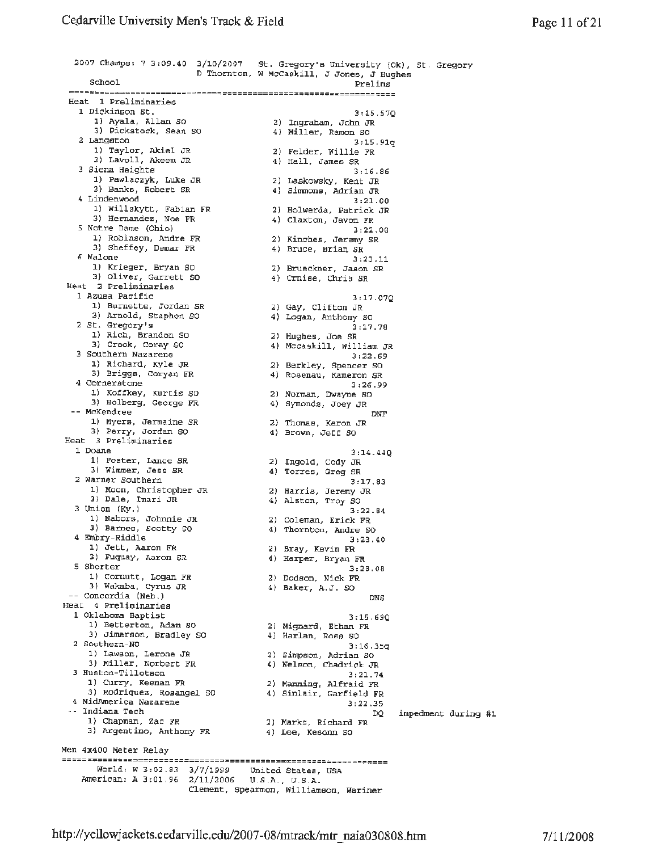2007 Champs: 7 3:09.40 3/10/2007 St. Gregory's University (Ok), St . Gregory D Thornton, W McCaskill, J Jones, J Hughes School Prelims Heat 1 Preliminaries 1 Dickinson St. 1) Ayala, Allan SO 3) Pickstock, Sean so 2) Ingraham, John JR 4) Miller, Ramon SO 2 Langston 1) Taylor, Akiel JR 3) Lavoll, Akeem JR 3 Siena Heights 1) Pawlaczyk, Luke JR 3) Banks, Robert SR 4 Linden wood 1) Willskytt., Fabian FR 3) Hernande.:, Noe FR 2) Holwerda, Patrick JR <sup>5</sup>Notre Dame (Ohio) 1) Robinson, Andre FR 3) Sheffey, Demar FR 2) Kinches, Jeremy SR 6 Malone 1) Krieger, Bryan so 3) Oliver, Garrett so Heat 2 Preliminaries 1 Azusa Pacific 1) Burnette, Jordan SR 3) Arnold, Staphon SO <sup>2</sup>St. Gregory's 1) Rich, Brandon so 3) Crook, Corey SO 3 Southern Nazarene 1) Richard, Kyle JR 3) Briggs, Coryan FR 2) Berkley, Spencer so 4 Cornerstone 1) Koffkey, Kurtis so 3) Holberg, Geo,ge FR 2) Norman, Dwayne so -- McKendree 1) Myers, Jermaine SR 3) Per:ry, Jordan SO 2) Thomas, Keren JR 4) Brown, Jeff so Heat 3 Preliminaries 1 Doane 1) Foster, Lance SR 3) Wimmer, Jess SR 2) Ingold, Cody JR <sup>2</sup>Warner Southern 1) Moon, Christopher JR 3) Dale, lmari JR 3 Union (Ky.) 1) Nabors, Johnnie JR 3) Barnes, Scotty SO 4 Embry-Riddle 1) Jett, Aaron FR 3) Fuquay, Aaron SR<br>5 Shorter 1) Cornutt, Logan FR 3) Wakaba, Cyrus JR -- Concordia (Neb.) Heat 4 Preliminaries 1 Oklahoma Baptist 1) Betterton, Adam so 3) Jimerson, Bradley SO 2) Mignard, Ethan FR 2 Southern-NO 1) Lawson, Lerone JR 3) Miller, Norbert FR 2) Simpson, Adrian so 3 Huston-Tillotson 1) Curry, Keenan FR 3) Rodriquez, Rosangel SO 4 MidAmerica Nazarene Indiana. Tech 1) Chapman, Zac FR 3) Argentina, Anthony FR 2) Marks, Richard FR Men 4x400 Meter Relay 3:15.57Q 3:15.9lq 2) Felder, Willie FR 4) Hall, James SR 3:16.86 2) Laskowsky, Kent JR 4) Simmons, Adrian JR 3:21.00 4) Claxton, Javon FR 3:22.08 4) Bruce, Brian SR 3:23.11 2) Brueckner, Jason SR 4) Crnise, Chris SR 3: 17. 07Q 2) Gay, Clifton JR 4) Logan, Anthony so  $3:17.78$ 2) Hughes, Joe SR 4) Mccaskill, William JR 3:22,69 4) Rosenau, Kameron SR 3:26.99 4) Symonds, Joey JR DNF 3:l4.44Q 4) Torres, Greg SR 3:17.83 2) Harris, Jeremy JR 4) Alston, Troy SO 3,22.84 2) Coleman, Erick FR 4) Thornton, Andre so 3:23.40 2) Bray, Kevin FR 4) Harper, Bryan FR 3:28.08 2) Dodson, Nick FR 4) Baker, A.J. so DNS 3:15.690 4) Harlan, Ross SO  $3:16.35q$ 4) Nelson, Chadrick JR 3 :21. 74 2) Manning, Alfraid FR 4) Sinlair, Garfield FR 3:22.35 DQ 4) Lee, Kesonn so World: W 3:02.83 World: W 3:02.83 3/7/1999 United States, USA<br>American: A 3:01.96 2/11/2006 U.S.A., U.S.A. 2/11/2006 *U.S.A.,* U.S.A. Clement, Spearmon, Williamson, Wariner impedment during #1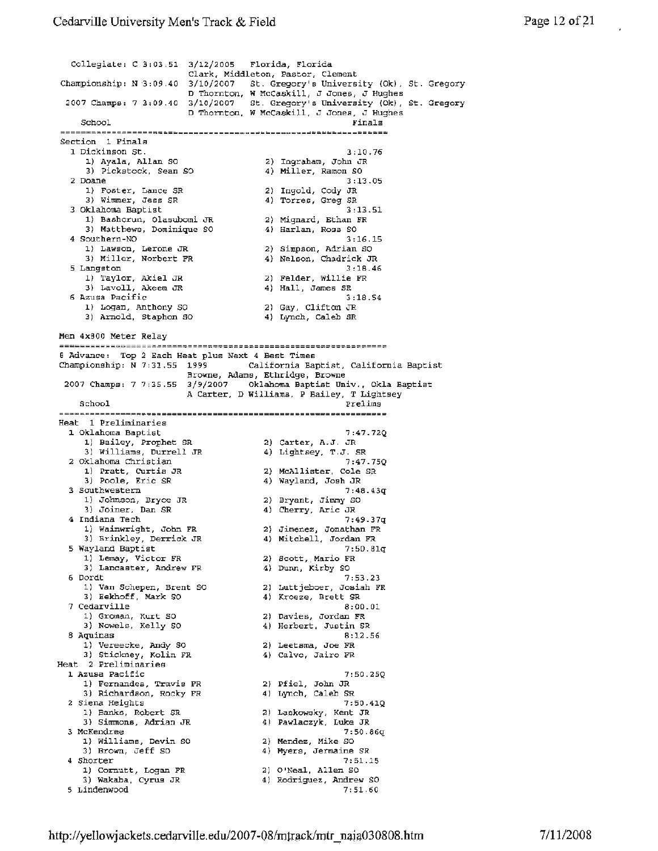Collegiate : C 3:03 . 51 3/12/2005 Florida, Florida Clark, Middleton, Pastor, Clement Championship: N 3:09.40 3/10/2007 St. Gregory's University (Ok), St. Gregory D Thornton, w McCaskill, J Jones, J Hughes 2007 Champs: 7 3:09.40 3/10/2007 St. Gregory's University (Ok), St. Gregory D Thornton, W McCaskill, J Jones, J Hughes School Finals Section l Finals 1 Dickinson St. 3:10.76 l.) Ayala, Allan so 2) Ingraham, John JR 3) Pickstock, Sean SO 4) Miller, Ramon SO <sup>2</sup>Doane 3:13.05 1) Foster, Lance SR 2) Ingold, Cody JR 3) Wimmer, Jess SR **4)** Torres, Greg SR 3 Oklahoma Baptist 3:13.51 1) Bashorun, Olasubomi JR 2) Mignard, Ethan FR 3) Matthews, Dominique so 4) Harlan, Ross SO **<sup>4</sup>**Southern-NO 3:16.15 l) **Lawson,** Lerone JR *2)* Simpson, Adrian SO 3) Miller, Norbert **FR** 4) Nelson, Chadrick JR 5 Langston 3:lB.46 1) Taylor, Akiel JR 2) Felder, Willie FR 3) Lavoll, Akeem JR 4) Hall, James SR  $\frac{1}{6}$  Azusa Pacific 3:18.54 1) Logan, Anthony SO 2) Gay, Clifton JR 3) Arnold, Staphon SO **4)** Lynch, Caleb SR Men 4x800 Meter Relay B Advance: Top 2 Each Heat plus Next 4 Best Times Championship: N 7:31.55 1999 California Baptist, California Baptist Browne, Adams, Ethridge, Browne 2007 Champa: 7 7:35.55 3/9/2007 Oklahoma Baptist Univ., Okla Baptist A Carter, D Williams, P Bailey, T Lightsey School Prelims Prelims Heat **1** Preliminaries l Oklahoma Baptist 7:47.72Q l.) Bailey, Prophet SR 2) Carter, A.J. JR 3) Williams, Durrell JR **4)** Lightsey, **T.J.** SR <sup>2</sup>Oklahoma Christian 7:47.75Q 1) Pratt, CUrtis JR 2) McAllister, Cole SR 3) Poole, Eric SR 4) Wayland, Josh JR 3 Southwestern 7:48.43q 1) Johnson, Bryce JR 2) Bryant, Jimmy SO 3) Joiner. Dan SR **4)** Cherry, Arie JR 4 Indiana Tech 7: 49. 3 7q 1) Wainwright, John **FR** 2) Jimenez, Jonathan FR 3) Brinkley, Derrick JR **4)** Mitchell, Jordan FR **<sup>5</sup>**Wayland Baptist 7: 50. Blq l) Lemay, Victor FR 2) Scott,\_Mario FR 3) Lancaster, Andrew FR 4) Dunn, Kirby SO 6 Dordt 7:53.23 1) Van Schepen, Brent so 2) Luttjeboer, Josiah FR 3) Eekhoff, Mark SO **4)** Kroeze, Brett SR 7 Cedarville 8:00.01 1) Groman, Kurt so **2)** Davies, Jordan **FR**  3) Nowels, Kelly SO 4) Herbert, Justin SR 8**Aquinas** 8<br>**8**Aquinas **8** 1) Vereecke, **Andy** SO 2) Leetsma, Joe FR 3) Stickney, Kolin FR 4) Calvo, Jairo FR Heat 2 Preliminaries l. Azusa Pacific 7:50.25Q 1) Fernandes, Travis **FR** 2) Pfiel, John **JR**  3) Richardson, Rocky FR **4)** Lynch, Caleb SR 2 Siena Heights 7:50.41Q<br>
1) Banks, Robert SR (2) Laskowsky, Kent JR<br>
2) Circle 1: 1) Banks, Robert SR 2) Laskowsky, Kent JR 3) Simmons, Adrian JR 4) **Pawlaczyk, Luke JR**  3 McKendree 7:50.86q l) Williams, Devin so 2) **Mendez,** Mike SO 3) Brown, Jeff so 4) Myers, Jermaine SR **<sup>4</sup>**Shorter 7:51.15 l) Cornutt, Logan **FR** 2) O'Neal, Allen SO 3) Wakaba, Cyrus JR **4)** Rodriguez, Andrew SO 5 Lindenwood 7,51.60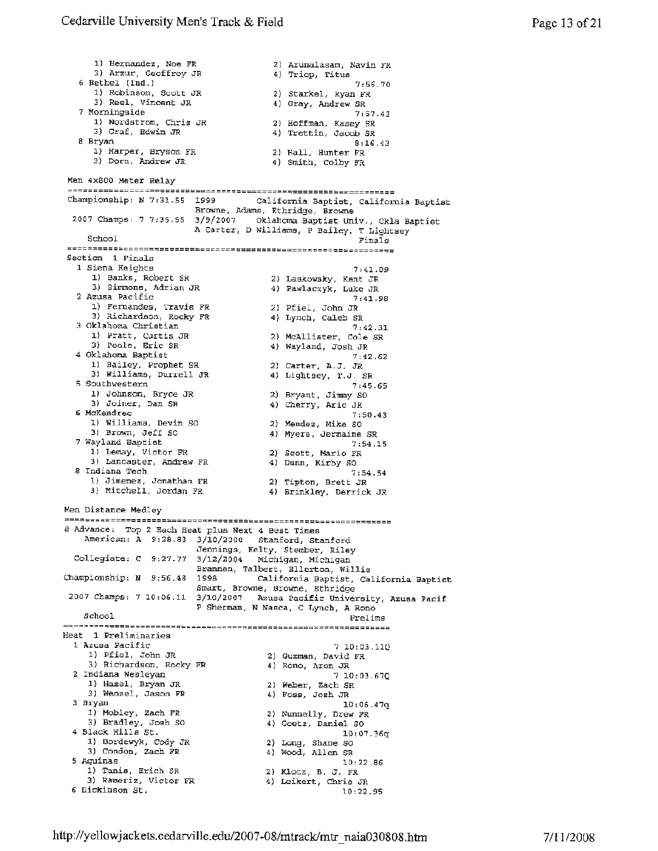1) Hernandez, Noe FR 2) Arunalasam, Navin FR 3) Arzur, Geoffroy JR 4) Triop, Titus 3) Arzur, Geoffroy JR (4) Triop, Titus<br>6 Bethel (Ind.) <sup>7:56.70</sup> (7:56.70) 1) Robinson, Scott JR 2) Starkel, Ryan FR<br>3) Reel, Vincent JR 2 4) Gray, Andrew SR 3) Reel, Vincent JR<br>7 Morningside 7 Morningside 7:57.43 1) Nordstrom, Chris JR 2) Hoffman, Kasey SR 3) Graf, Edwin JR 4) Trettin, Jacob SR <sup>8</sup>Bryan 8:16.43 l) Harper, Bryson FR 2) Hall, Hunter FR 3) Dorn, Andrew JR **4)** Smith, Colby FR Men 4x800 Meter Relay Championship: **N** 7:31.55 1999 California Baptist, California Baptist Browne, Adams, Ethridge, Browne 2007 Champs: 7 7:35.55 3/9/2007 Oklahoma Baptist Univ., Okla Baptist A Carter, D Williams, P Bailey, T Lightsey  $School$   $\n *Finally* 1 - *linear* 1 + *linear* 2 + *linear* 3 + *linear* 4 + *linear* 4 + *linear* 4 + *linear* 5 + *linear* 6 + *linear* 6 + *linear* 7 + *linear* 7 + *linear* 8 + *linear* 8 + *linear* 8 + *linear* 8 + *linear* 8 + *linear* 8 + *linear* 8 + *linear* 8 + *linear* 8 +$ Section 1 Finals 1 Siena Heights 1) Banks, Robert SR 3) Simmons, Adrian JR 2 Azusa Pacific l) Fernandes, Travis FR 3) Richardson, Rocky **FR**  2) Pfiel, John JR 3 Oklahoma Christian 1) Pratt, Curtis JR 3) Poole, Eric SR 4 Oklahoma Baptist 1) Bailey, Prophet SR 3) Williams, Durrell JR 2) carter, A.J, JR 5 Southwestern 1) Johnson, Bryce JR 3) Joiner, Dan SR 6 McKendree l) Williams, Devin SO 1) Williams, Devin SO (2) Mendez, Mike SO<br>3) Brown, Jeff SO (4) Myers, Jermaine 7 Wayland Baptist 1) Lemay, Victor FR 3) Lancaster, Andrew FR 2) Scott, Mario FR 8 Indiana Tech 1) Jimenez, Jonathan FR 3) Mitchell, Jordan FR Men Distance Medley 7 :41.09 2) Laskowsky, Kent JR 4) Pawlaczyk, Luke JR 7:41.98 4) Lynch, Caleb SR 7:42.31 2) McAllister, Cole SR 4) Wayland, Josh JR 7:42.62 4) Lightsey, T.J. SR 7:45.65 2) Bryant, Jimmy SO 4) Cherry, Arie JR 7:50.43 4) Myers, Jermaine SR 7:54.15 4) Dwm, Kirby SO 7:54.54 2) Tipton, Brett JR 4) Brinkley, Derrick JR 8 Advance: Top 2 Each Heat plus **Next** 4 Best Times American: **A** 9:28.83 3/10/2000 Stanford, Stanford Jennings, Kelty, Stember, Riley Collegiate: *c* 9:27.77 3/12/2004 Michigan, Michigan Brannen, Talbert, Ellerton, Willis<br>Championship: N 9:56.48 1998 California Baptist, Ca California Baptist, California Baptist Smart, Browne, Browne, Ethridge 2D07 Champs: 7 10:06.11 3/10/2007 Azusa Pacific university, **Azusa** Paci£ P Shennan, **N** Nasca, C Lynch, **A** Rono School Prelims Heat **1** Preliminaries 1 Azusa Pacific 7 10: 03.110 1) Pfiel, John JR 2) Guzman, David FR 3) Richardson, Rocky FR **4)** Rono, Aron JR **<sup>2</sup>**Indiana Wesleyan 7 10: 03. 67Q 1) Hazel, Bryan JR 2) Weber, Zach SR 3) Wenzel, Jason FR 4) Foss, Josh JR 3 Bryan 10:06.47q 1) Mobley, Zach FR 2) Nunnelly, Drew FR 3) Mobley, Zach FR (2) Nunnelly, Drew FR (3) Bradley, Josh SO (4) Goetz, Daniel SO (4) Black Hills St. (10:07. **<sup>4</sup>**Black Hills St. l0:07.36g 1) Bordewyk, Cody *JR* 2) Long, Shane so J) Condon, Zach FR **4)** Wood, Allen SR **<sup>5</sup>**Aquinas 10:22.86 1) Tanis, Erich SR 2) Klotz, B. J. FR 3) Rameriz, Victor FR (4) Leikert, Chris JR<br>6 Dickinson St. 10:22.95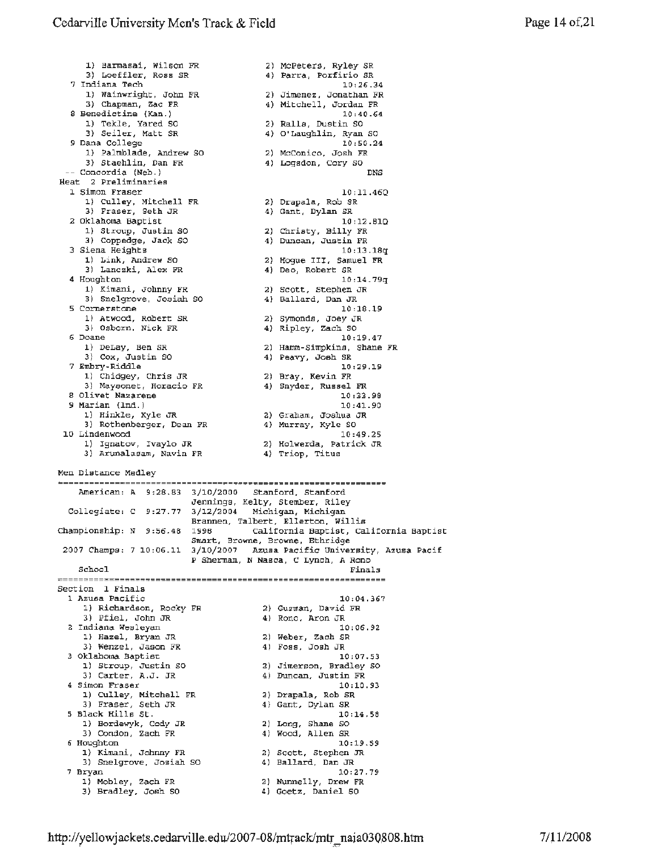1) Barmasai, Wilson FR 3) Loeffler, Ross SR 2) McPeters, Ryley SR 4) Parra, Porfirio SR <sup>7</sup>Indiana Tech 1) Wainwright, John FR 3) Chapman, Zac FR <sup>8</sup>Benedictine (Kan.) l) Tekle, Yared SO 3) Seiler, Matt SR <sup>9</sup>Dana College 1) Palmblade, Andrew SO 3) Staehlin, Dan FR -- Concordia (Neb.) Heat 2 Preliminaries l Simon Fraser l) Culley, Mitchell FR 3) Fraser, Seth JR <sup>2</sup>Oklahoma Baptist 1) Stroup, Juetin SO 3) Coppedge, Jack SO 3 Siena Heights 1) Link, Andrew so 3) Lanczki, Alex FR 4 Houghton 1) Kimani, Johnny FR 3) Snelgrove, Josiah SO <sup>5</sup>Cornerstone 1) Atwood, Robert SR 3) Osborn , *Nick* FR 6 Doane 1) DeLay, Ben SR 3) Cox, Justin SO 7 Embry-Riddle 1) Chidgey, Chris JR 3) Maysonet, Horacio FR 8 Olivet Nazarene 9 Marian (Ind.) l) Hinkle, Kyle JR 3) Rothenberger, Dean FR 10 Lindenwood l) Ignatov, Ivaylo JR 3) Arunalasam, Navin FR Men Distance Medley 10:26.34 2) Jimenez, Jonathan FR 4) Mitchell, Jordan FR 10 :40 .64 2) Ralls, Dustin SO 4) O'Laughlin, Ryan so 10:50.24 2) Mcconico, Josh **FR**  4) Logsdon, Cory SO DNS 10:ll.46Q 2) Drapala, Rob SR 4) Gant, Dylan SR 10:12.BlQ 2) Christy, Billy FR 4) Duncan, Justin FR 10:13.lSq 2) Hogue III, Samuel FR 4) Deo, Robert SR 10:14.79g 2) Scott, Stephen JR 4) Ballard, Dan JR 10:18.19 2) Symonds, Joey JR 4) Ripley, Zach SO 10:19.47 2) Hamm-Simpkins, Shane FR 4) Peavy, Josh SR 10:29.19 2) Bray, Kevin FR 4) Snyder, Russel FR 10:33.98 10:41.90 2) Graham, Joshua JR 4) Murray, Kyle SO 10:49.25 *2)* Holwerda, Patrick JR **4)** Triop, Titus American: A 9:28.83 3/10/2000 Stanford, Stanford Jennings, Kelty, Stember, Riley Collegiate: C 9:27.77 3/12/2004 Michigan, Michigan Brannen, Talbert, Ellerton, Willis Championship: N 9:S6.48 1998 California Baptist, California Baptist Smart, Browne, Browne, Ethridge 2007 Champs: 7 10:06.11 3/10/2007 Azusa Pacific University, Azusa Pacif P Sherman, N Nasca, C Lynch, A Rono  $School$  Finals Section 1 Finals l Azusa Pacific 10:04.367 1) Richardson, Rocky FR 2) Guzman, David FR 3) Pfiel, John JR 4) Rono, Aron JR 2 Indiana Wesleyan 10:06.92 l) Hazel, Bryan JR 2) Weber, Zach SR

3) Wenzel, Jason FR 4) Foss, Josh JR 3 Oklahoma Baptist 10:07.53 1) Stroup, Justin SO 2) Jimerson, Bradley SO 3) Carter, A.J. JR 4) Duncan, Justin FR **<sup>4</sup>**Simon Fraser 10:10.93 l) Culley, Mitchell FR :2) Drapala, Rob SR  $3)$  Fraser, Seth JR  $4)$  Gant, Dylan SR  $\frac{1}{2}$  Shack Hills St. 10:14.58 1) Bordewyk, Cody JR 2) Long, Shane so 3) Condon, Zach FR **4)** Wood, Allen SR *"* Houghton 10:19.59 l) Kimani, Johnny FR 2) Scott, Stephen JR 3) Snelgrove, Josiah SO 4) Ballard, Dan JR <sup>7</sup>Bryan 10:27.79 l) Mobley, Zach FR 2) Nunnelly, Drew FR 3) Bradley, Josh so **4)** Goetz, Daniel so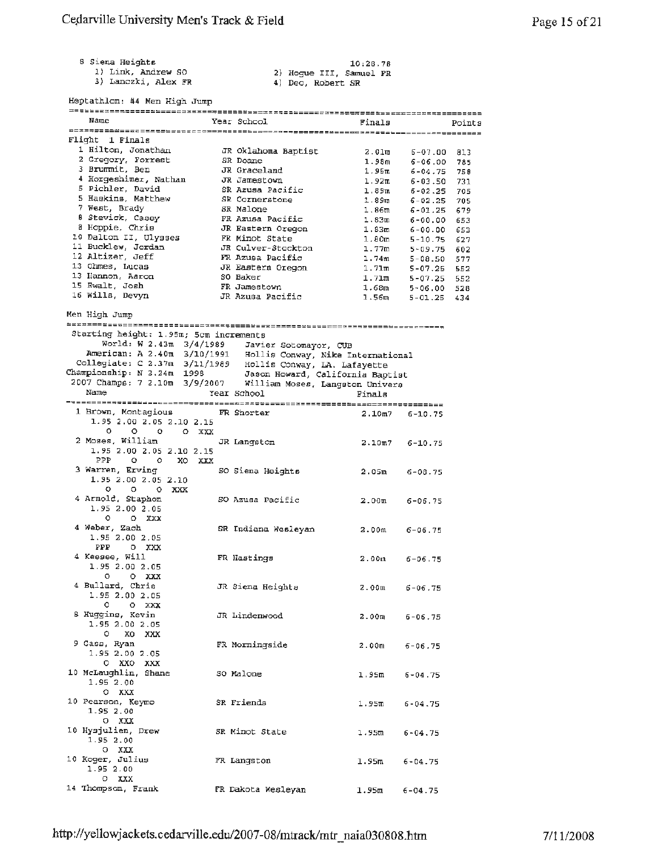8 Siena Heights

1) Link, Andrew so 3) Lanc2ki, Alex **FR** 

10:28 . 78 2) Hogue III, Samuel FR 4) Deo, Robert SR

Heptathlon: **#4** Men High Jump

| Name                                                                                                                                                                                                                                    | Year School                      | Finals                            | <b>Points</b>                                          |
|-----------------------------------------------------------------------------------------------------------------------------------------------------------------------------------------------------------------------------------------|----------------------------------|-----------------------------------|--------------------------------------------------------|
|                                                                                                                                                                                                                                         |                                  |                                   |                                                        |
| Flight 1 Finals                                                                                                                                                                                                                         |                                  |                                   |                                                        |
| 1 Hilton, Jonathan                                                                                                                                                                                                                      | JR Oklahoma Baptist              |                                   | $2.01m$ 6-07.00<br>813                                 |
| 2 Gregory, Forrest                                                                                                                                                                                                                      | SR Doane                         | 1.98m                             | $6 - 06.00$<br>785                                     |
| 3 Brummit, Ben                                                                                                                                                                                                                          | JR Graceland                     |                                   | $1.95m$ 6-04.75<br>758                                 |
| 4 Horgeshimer, Nathan                                                                                                                                                                                                                   | JR Jamestown                     | 1.92m                             | $6 - 03.50$<br>731                                     |
| 5 Pichler, David                                                                                                                                                                                                                        | SR Azusa Pacific                 |                                   | 705                                                    |
| 5 Haskins, Matthew                                                                                                                                                                                                                      | SR Cornerstone                   |                                   | 1.89m 6-02.25<br>1.89m 6-02.25<br>705                  |
| 7 West, Brady                                                                                                                                                                                                                           | SR Malone                        |                                   | $6 - 01.25$<br>679                                     |
| 8 Stevick, Casey                                                                                                                                                                                                                        | FR Azusa Pacific                 | $1.86\mathrm{m} \ 1.83\mathrm{m}$ | $6 - 00.00$<br>653                                     |
| 8 Hoppie, Chris                                                                                                                                                                                                                         | JR Eastern Oregon                |                                   | 653                                                    |
| 10 Dalton II, Ulysses FR Minot State                                                                                                                                                                                                    |                                  |                                   | $1.83m$ 6-00.00<br>1.80m 5-10.75<br>$5 - 10.75$<br>627 |
| 11 Bucklew, Jordan                                                                                                                                                                                                                      | JR Culver-Stockton               | 1.77m<br>1.74m                    | 5-09.75<br>602                                         |
| 12 Altizer, Jeff                                                                                                                                                                                                                        | FR Azusa Pacific                 |                                   | $5 - 08.50$<br>577                                     |
| 13 Ohmes, Lucas                                                                                                                                                                                                                         | JR Eastern Oregon                |                                   | 552                                                    |
| 13 Hannon, Aaron                                                                                                                                                                                                                        | SO Baker                         |                                   | 1.71m 5-07.25<br>1.71m 5-07.25<br>552                  |
| 15 Ewalt, Josh<br>16 Wills, Devyn                                                                                                                                                                                                       | FR Jamestown<br>JR Azusa Pacific |                                   | $1.68m$ 5-06.00<br>$1.56m$ 5-01.25<br>528              |
|                                                                                                                                                                                                                                         |                                  |                                   | 434                                                    |
|                                                                                                                                                                                                                                         |                                  |                                   |                                                        |
| Men High Jump                                                                                                                                                                                                                           |                                  |                                   |                                                        |
|                                                                                                                                                                                                                                         |                                  |                                   |                                                        |
| Starting height: 1.95m; 5cm increments                                                                                                                                                                                                  |                                  |                                   |                                                        |
| World: W 2.43m 3/4/1989 Javier Sotomayor, CUB<br>American: A 2.40m 3/10/1991 Hollis Conway, Nike International<br>Collegiate: C 2.37m 3/11/1989 Hollis Conway, LA. Lafayette<br>Championship: N 2.24m 1998 Jason Howard, California Bap |                                  |                                   |                                                        |
|                                                                                                                                                                                                                                         |                                  |                                   |                                                        |
|                                                                                                                                                                                                                                         |                                  |                                   |                                                        |
|                                                                                                                                                                                                                                         |                                  |                                   |                                                        |
| 2007 Champs: 7 2.10m 3/9/2007 William Moses, Langston Univers                                                                                                                                                                           |                                  |                                   |                                                        |
| Name                                                                                                                                                                                                                                    | Year School                      | Finals                            |                                                        |
|                                                                                                                                                                                                                                         |                                  |                                   |                                                        |
| 1 Brown, Montagious FR Shorter                                                                                                                                                                                                          |                                  | 2.10m7 6-10.75                    |                                                        |
| 1.95 2.00 2.05 2.10 2.15                                                                                                                                                                                                                |                                  |                                   |                                                        |
| 0.<br>o o oxxax                                                                                                                                                                                                                         |                                  |                                   |                                                        |
| 2 Moses, William GR Langston                                                                                                                                                                                                            |                                  | 2.10 <sub>m</sub> 7               | $6 - 10.75$                                            |
| 1.95 2.00 2.05 2.10 2.15                                                                                                                                                                                                                |                                  |                                   |                                                        |
| PPP 0 0 XO XXX                                                                                                                                                                                                                          |                                  |                                   |                                                        |
| 3 Warren, Erving                                                                                                                                                                                                                        | SO Siena Heights                 | $2.05\mathrm{m}$                  | 6-08.75                                                |
| 1.95 2.00 2.05 2.10                                                                                                                                                                                                                     |                                  |                                   |                                                        |
| $\circ$<br>o oxxx                                                                                                                                                                                                                       |                                  |                                   |                                                        |
| 4 Arnold, Staphon                                                                                                                                                                                                                       | SO Azusa Pacific                 | $2.00m$ 6-06.75                   |                                                        |
| 1.95 2.00 2.05                                                                                                                                                                                                                          |                                  |                                   |                                                        |
| $0$ $0$ $XXX$                                                                                                                                                                                                                           |                                  |                                   |                                                        |
| 4 Weber, Zach                                                                                                                                                                                                                           | SR Indiana Wesleyan              | 2.00m                             | 6-06.75                                                |
| 1.95 2.00 2.05                                                                                                                                                                                                                          |                                  |                                   |                                                        |
| PPP OXXX                                                                                                                                                                                                                                |                                  |                                   |                                                        |
| 4 Keesee, Will                                                                                                                                                                                                                          | FR Hastings                      | 2.00 <sub>m</sub>                 | $6 - 06.75$                                            |
| 1.95 2.00 2.05                                                                                                                                                                                                                          |                                  |                                   |                                                        |
| $0$ $0$ $\chi$ $\chi$ $\chi$                                                                                                                                                                                                            |                                  |                                   |                                                        |
| 4 Bullard, Chris                                                                                                                                                                                                                        | JR Siena Heights 2.00m 6-06.75   |                                   |                                                        |
| 1.95 2.00 2.05                                                                                                                                                                                                                          |                                  |                                   |                                                        |
| $0$ 0 $XXX$                                                                                                                                                                                                                             |                                  |                                   |                                                        |
| 8 Huggins, Kevin                                                                                                                                                                                                                        | JR Lindenwood                    | $2.00m$ 6-06.75                   |                                                        |
| 1.95 2.00 2.05                                                                                                                                                                                                                          |                                  |                                   |                                                        |
| 0 XO XXX                                                                                                                                                                                                                                |                                  |                                   |                                                        |
| 9 Gass, Ryan                                                                                                                                                                                                                            | FR Morningside                   | $2.00m$ $6-06.75$                 |                                                        |
| 1.95 2.00 2.05                                                                                                                                                                                                                          |                                  |                                   |                                                        |
| 0 XXO XXX                                                                                                                                                                                                                               |                                  |                                   |                                                        |
| 10 McLaughlin, Shane 50 Malone                                                                                                                                                                                                          |                                  | $1.95m$ 6-04.75                   |                                                        |
| 1.95 2.00                                                                                                                                                                                                                               |                                  |                                   |                                                        |
| O XXX                                                                                                                                                                                                                                   |                                  |                                   |                                                        |
| 10 Pearson, Keymo                                                                                                                                                                                                                       | SR Friends                       | 1.95m                             | $6 - 04.75$                                            |
| 1.95 2.00                                                                                                                                                                                                                               |                                  |                                   |                                                        |
| o xxx                                                                                                                                                                                                                                   |                                  |                                   |                                                        |
| 10 Hysjulien, Drew                                                                                                                                                                                                                      | SR Minot State                   |                                   |                                                        |
| 1.95 2.00                                                                                                                                                                                                                               |                                  | 1.95m                             | $6 - 04.75$                                            |
| O XXX                                                                                                                                                                                                                                   |                                  |                                   |                                                        |
| 10 Koger, Julius                                                                                                                                                                                                                        | FR Langston                      | 1.95m                             | $6 - 04 - 75$                                          |
| 1.95 2.00                                                                                                                                                                                                                               |                                  |                                   |                                                        |
| $0$ XXX                                                                                                                                                                                                                                 |                                  |                                   |                                                        |
| 14 Thompson, Frank                                                                                                                                                                                                                      | FR Dakota Wesleyan               | $1.95m$ 6-04.75                   |                                                        |
|                                                                                                                                                                                                                                         |                                  |                                   |                                                        |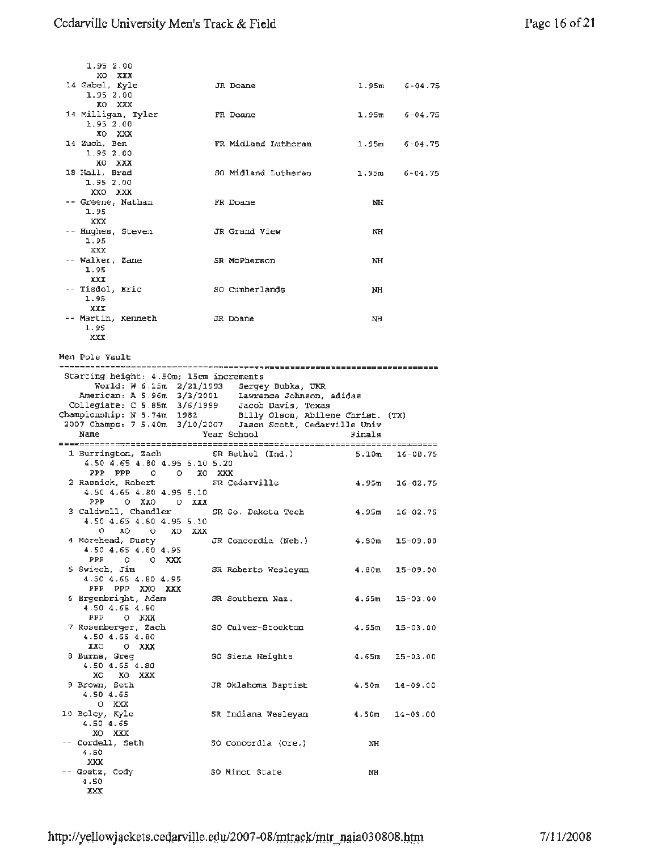| 1.95 2.00                                                                                                                                                                                                                                     |                                     |                    |                    |
|-----------------------------------------------------------------------------------------------------------------------------------------------------------------------------------------------------------------------------------------------|-------------------------------------|--------------------|--------------------|
| XO XXX                                                                                                                                                                                                                                        |                                     |                    |                    |
| 14 Gabel, Kyle<br>1.95 2.00                                                                                                                                                                                                                   | JR Doane                            |                    | $1.95m$ $6-04.75$  |
| XO XXX                                                                                                                                                                                                                                        |                                     |                    |                    |
| 14 Milligan, Tyler                                                                                                                                                                                                                            | FR Doane                            |                    | $1.95m$ 6-04.75    |
| 1.95 2.00                                                                                                                                                                                                                                     |                                     |                    |                    |
| XO XXX<br>14 Zuch, Ben                                                                                                                                                                                                                        | FR Midland Lutheran $1.95m$ 6-04.75 |                    |                    |
| 1.95 2.00                                                                                                                                                                                                                                     |                                     |                    |                    |
| XO XXX                                                                                                                                                                                                                                        |                                     |                    |                    |
| 18 Hall, Brad                                                                                                                                                                                                                                 | SO Midland Lutheran                 |                    | $1.95m$ 6-04.75    |
| 1,95 2.00<br>XXO XXX                                                                                                                                                                                                                          |                                     |                    |                    |
| –– Greene, Nathan                                                                                                                                                                                                                             | FR Doane                            | NH                 |                    |
| 1.95                                                                                                                                                                                                                                          |                                     |                    |                    |
| XXX                                                                                                                                                                                                                                           |                                     |                    |                    |
| -- Hughes, Steven                                                                                                                                                                                                                             | JR Grand View                       | NH                 |                    |
| 1.95<br>XXX                                                                                                                                                                                                                                   |                                     |                    |                    |
| -- Walker, Zane                                                                                                                                                                                                                               | SR McPherson                        | NH                 |                    |
| 1.95                                                                                                                                                                                                                                          |                                     |                    |                    |
| xxx<br>-- Tisdol, Eric                                                                                                                                                                                                                        | SO Cumberlands                      |                    |                    |
| 1.95                                                                                                                                                                                                                                          |                                     | NH                 |                    |
| XXX                                                                                                                                                                                                                                           |                                     |                    |                    |
| -- Martin, Kenneth         JR Doane                                                                                                                                                                                                           |                                     | NH                 |                    |
| 1.95<br>XXX                                                                                                                                                                                                                                   |                                     |                    |                    |
|                                                                                                                                                                                                                                               |                                     |                    |                    |
| Men Pole Vault                                                                                                                                                                                                                                |                                     |                    |                    |
| Starting height: 4.50m; 15cm increments                                                                                                                                                                                                       |                                     |                    |                    |
|                                                                                                                                                                                                                                               |                                     |                    |                    |
|                                                                                                                                                                                                                                               |                                     |                    |                    |
| World: W 6.15m 2/21/1993 Sergey Bubka, UKR                                                                                                                                                                                                    |                                     |                    |                    |
|                                                                                                                                                                                                                                               |                                     |                    |                    |
|                                                                                                                                                                                                                                               |                                     |                    |                    |
| American: A 5.96m 3/3/2001 Lawrence Johnson, adidas<br>Collegiate: C 5.85m 3/6/1999 Jacob Davis, Texas<br>Championship: N 5.74m 1982 Billy Olson, Abilene Christ. (TX)<br>2007 Champs: 7 5.40m 3/10/2007 Jason Scott, Cedarville Univ<br>Name | Year School                         | Finals             |                    |
|                                                                                                                                                                                                                                               |                                     |                    |                    |
| 1 Burrington, Zach                                                                                                                                                                                                                            | SR Bethel (Ind.)                    |                    | $5.10m$ 16-08.75   |
| 4.50 4.65 4.80 4.95 5.10 5.20                                                                                                                                                                                                                 |                                     |                    |                    |
| PPP PPP 0 0 XO XXX<br>2 Rasnick, Robert                                                                                                                                                                                                       | FR Cedarville                       | $4.95m$ 16-02.75   |                    |
| 4.50 4.65 4.80 4.95 5.10                                                                                                                                                                                                                      |                                     |                    |                    |
| PPP<br>OXXO OXXX                                                                                                                                                                                                                              |                                     |                    |                    |
|                                                                                                                                                                                                                                               |                                     | $4.95m$ $16-02.75$ |                    |
| 4.50 4.65 4.80 4.95 5.10<br>oxo oxoxx                                                                                                                                                                                                         |                                     |                    |                    |
|                                                                                                                                                                                                                                               |                                     |                    |                    |
| 4.50 4.65 4.80 4.95                                                                                                                                                                                                                           |                                     |                    |                    |
| PPP<br>o oxxx                                                                                                                                                                                                                                 |                                     |                    |                    |
| 5 Swiech, Jim<br>4.50 4.65 4.80 4.95                                                                                                                                                                                                          | SR Roberts Wesleyan                 | $4.80$ m 15-09.00  |                    |
| PPP PPP XXO XXX                                                                                                                                                                                                                               |                                     |                    |                    |
| 6 Ergenbright, Adam                                                                                                                                                                                                                           | SR Southern Naz.                    |                    | $4.65m$ $15-03.00$ |
| 4.50 4.65 4.80<br>PPP O KXX                                                                                                                                                                                                                   |                                     |                    |                    |
| 7 Rosenberger, Zach                                                                                                                                                                                                                           | SO Culver-Stockton                  | $4.65m$ 15-03.00   |                    |
| 4.50 4.65 4.80                                                                                                                                                                                                                                |                                     |                    |                    |
| XXO OXXX                                                                                                                                                                                                                                      |                                     |                    |                    |
| 8 Burns, Greg<br>$4.50$ $4.65$ $4.80$                                                                                                                                                                                                         | SO Siena Heights 4.65m 15-03.00     |                    |                    |
| XO XO XXX                                                                                                                                                                                                                                     |                                     |                    |                    |
| 9 Brown, Seth                                                                                                                                                                                                                                 | JR Oklahoma Baptist                 |                    | $4,50m$ $14-09.00$ |
| 4.50 4.65                                                                                                                                                                                                                                     |                                     |                    |                    |
| 0 XXX                                                                                                                                                                                                                                         |                                     |                    |                    |
| 10 Boley, Kyle<br>4.50 4.65                                                                                                                                                                                                                   | SR Indiana Wesleyan                 | $4.50m$ $14-09.00$ |                    |
| XO XXX                                                                                                                                                                                                                                        |                                     |                    |                    |
| -- Cordell, Seth<br>4.50                                                                                                                                                                                                                      | SO Concordia (Ore.)                 | ΝH                 |                    |

-- Goetz, Cody SO Minot State NH

XXX

4.50 XXX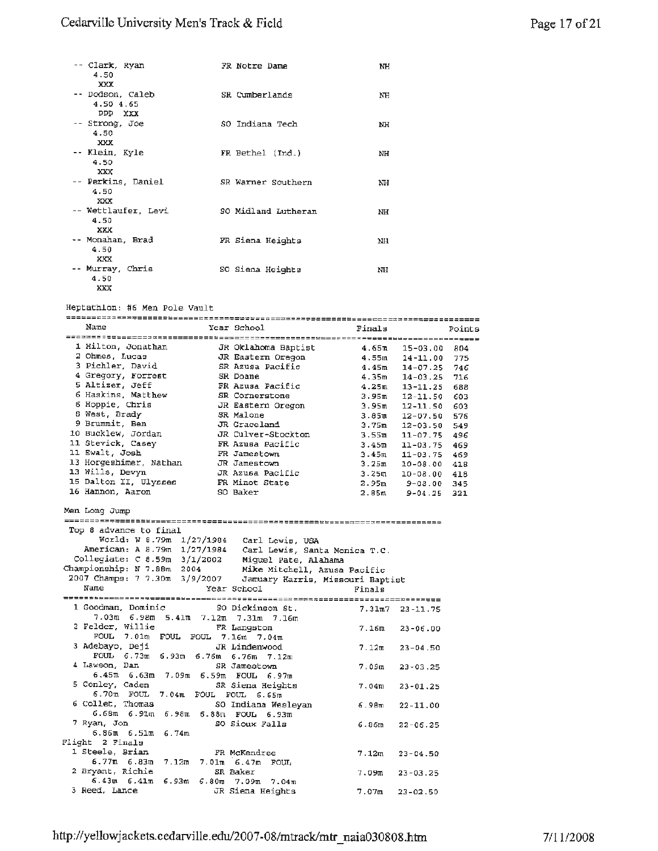#### Cedarville University Men's Track & Field

| -- Clark, Ryan<br>4.50<br>XXX             | FR Notre Dame       | NH |
|-------------------------------------------|---------------------|----|
| -- Dodson, Caleb<br>4.50 4.65<br>PPP XXX  | SR Cumberlands      | NH |
| -- Strong, Joe<br>4.50<br>XXX             | SO Indiana Tech     | NH |
| -- Klein, Kyle<br>4.50<br>XXX             | FR Bethel (Ind.)    | NH |
| -- Perkins, Daniel<br>4.50<br>XX          | SR Warner Southern  | NH |
| -- Wettlaufer, Levi<br>4.50<br><b>XXX</b> | SO Midland Lutheran | NH |
| -- Monahan, Brad<br>4.50<br><b>XXX</b>    | FR Siena Heights    | NH |
| -- Murray, Chris<br>4.50<br>XXX           | SO Siena Heights    | NH |

Heptathlon: #6 Men Pole Vault

| Name                                                | Year School                                                                                                               | Finals            |                                | Points |
|-----------------------------------------------------|---------------------------------------------------------------------------------------------------------------------------|-------------------|--------------------------------|--------|
|                                                     |                                                                                                                           |                   |                                |        |
| 1 Hilton, Jonathan                                  | JR Oklahoma Baptist                                                                                                       | 4.65m             | $15 - 03.00$                   | 804    |
| 2 Ohmes, Lucas                                      | JR Eastern Oregon                                                                                                         |                   | $4.55m$ $14-11.00$             | 775    |
| 3 Pichler, David                                    | SR Azusa Pacific                                                                                                          |                   | $4.45m$ $14-07.25$             | 746    |
| 4 Gregory, Forrest                                  | SR Doane                                                                                                                  |                   | $4.35m$ $14-03.25$             | 716    |
| 5 Altizer, Jeff                                     | FR Azusa Pacific                                                                                                          |                   | $4.25m$ $13-11.25$             | 688    |
| 6 Haskins, Matthew                                  | SR Cornerstone                                                                                                            |                   | 3.95m 12-11.50                 | 603    |
| 6 Hoppie, Chris                                     | JR Eastern Oregon                                                                                                         |                   | $3.95m$ 12-11.50               | 603    |
| 8 West, Brady                                       | SR Malone                                                                                                                 |                   | $3.85$ m $12-07.50$            | 576    |
| 9 Brummit, Ben                                      | JR Graceland                                                                                                              |                   | $3.75m$ $12-03.50$             | 549    |
| 10 Bucklew, Jordan                                  | JR Culver-Stockton                                                                                                        |                   | $3.55m$ $11-07.75$             | 496    |
| 11 Stevick, Casey                                   | FR Azusa Pacific                                                                                                          |                   | $3.45m$ 11-03.75               | 469    |
| 11 Ewalt, Josh                                      | FR Jamestown                                                                                                              |                   | $3.45m$ 11-03.75               | 469    |
| 13 Horgeshimer, Nathan                              | JR Jamestown                                                                                                              |                   | $3.25m$ $10-08.00$             | 418    |
| 13 Wills, Devyn                                     | JR Azusa Pacific                                                                                                          |                   | $3.25m$ $10-08.00$             | 418    |
| 15 Dalton II, Ulysses                               | FR Minot State                                                                                                            |                   |                                | 345    |
| 16 Hannon, Aaron                                    | SO Baker                                                                                                                  |                   | 2.95m 9-08.00<br>2.85m 9-04.25 | 321    |
|                                                     |                                                                                                                           |                   |                                |        |
| Men Long Jump                                       |                                                                                                                           |                   |                                |        |
|                                                     |                                                                                                                           |                   |                                |        |
| Top 8 advance to final                              |                                                                                                                           |                   |                                |        |
|                                                     | World: W 8.79m 1/27/1984 Carl Lewis, USA                                                                                  |                   |                                |        |
|                                                     | American: A 8.79m 1/27/1984 Carl Lewis, Santa Monica T.C.                                                                 |                   |                                |        |
|                                                     | Collegiate: C 8.59m 3/1/2002 Miguel Pate, Alahama                                                                         |                   |                                |        |
|                                                     |                                                                                                                           |                   |                                |        |
|                                                     | Championship: N 7.88m 2004 Mike Mitchell, Azusa Pacific<br>2007 Champs: 7 7.30m 3/9/2007 Jamuary Harris, Missouri Baptist |                   |                                |        |
| Name                                                | Year School                                                                                                               | Finals            |                                |        |
|                                                     |                                                                                                                           |                   |                                |        |
| 1 Goodman, Dominic                                  | SO Dickinson St.                                                                                                          | 7.31m7 23-11.75   |                                |        |
| 7.03m 6.98m 5.41m 7.12m 7.31m 7.16m                 |                                                                                                                           |                   |                                |        |
| 2 Felder, Willie                                    | FR Langston                                                                                                               |                   |                                |        |
| FOUL 7.01m FOUL FOUL 7.16m 7.04m                    |                                                                                                                           | 7.16m             | $23 - 06.00$                   |        |
| 3 Adebayo, Deji                                     | JR Lindenwood                                                                                                             |                   |                                |        |
|                                                     |                                                                                                                           | 7.12m             | $23 - 04.50$                   |        |
| FOUL 6.73m 6.93m 6.76m 6.76m 7.12m<br>4 Lawson, Dan |                                                                                                                           |                   |                                |        |
|                                                     | SR Jamestown                                                                                                              | 7.0900            | $23 - 03.25$                   |        |
| 6.45m 6.63m 7.09m 6.59m FOUL 6.97m                  |                                                                                                                           |                   |                                |        |
| 5 Conley, Caden                                     | SR Siena Heights                                                                                                          | 7.04 ณ            | $23 - 01.25$                   |        |
| 6.70m FOUL 7.04m FOUL FOUL 6.65m                    |                                                                                                                           |                   |                                |        |
|                                                     |                                                                                                                           |                   |                                |        |
| 6 Collet, Thomas                                    | SO Indiana Wesleyan                                                                                                       | 6.98m             | $22 - 11.00$                   |        |
| $6.68m$ $6.91m$ $6.98m$ $6.88m$ $F00L$ $6.93m$      |                                                                                                                           |                   |                                |        |
| 7 Ryan, Jon                                         | SO Sioux Falls                                                                                                            | 6.86m             | $22 - 06.25$                   |        |
| $6.86m$ $6.51m$ $6.74m$                             |                                                                                                                           |                   |                                |        |
| Flight 2 Finals                                     |                                                                                                                           |                   |                                |        |
| 1 Steele, Brian                                     | FR McKendree                                                                                                              | 7.12 <sub>m</sub> | $23 - 04.50$                   |        |
| 6.77m 6.83m 7.12m 7.01m 6.47m FOUL                  |                                                                                                                           |                   |                                |        |
| 2 Bryant, Richie                                    | SR Baker                                                                                                                  | 7.09m             | $23 - 03.25$                   |        |
| 6.43m 6.41m 6.93m 6.80m 7.09m 7.04m                 |                                                                                                                           |                   |                                |        |
| 3 Reed, Lance                                       | JR Siena Heights                                                                                                          | 7.07m             | $23 - 02.50$                   |        |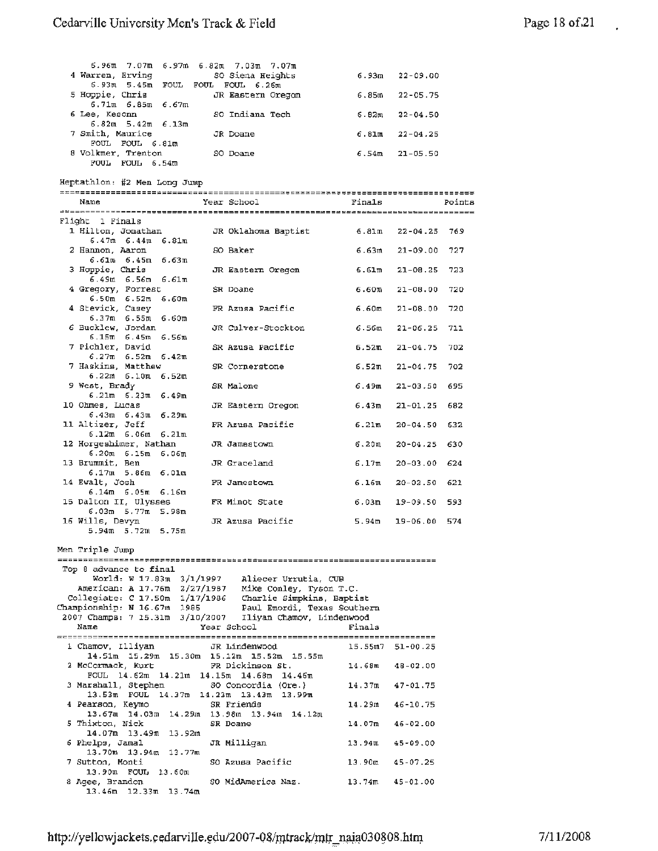l.

| 6.96 m. 7.07 m. 6.97 m. 6.82 m. 7.03 m. 7.07 m.                |                                        |           |                    |        |
|----------------------------------------------------------------|----------------------------------------|-----------|--------------------|--------|
| 4 Warren, Erving                                               | SO Siena Heights                       |           | 6.93m 22-09.00     |        |
| 6.93m 5.45m FOUL FOUL FOUL 6.26m<br>5 Hoppie, Chris            | JR Eastern Oregon                      |           | 6.85m 22-05.75     |        |
| $6.71m$ $6.85m$ $6.67m$<br>6 Lee, Kesonn                       | SO Indiana Tech                        |           | $6.82m$ $22-04.50$ |        |
| $6.82m$ 5.42m $6.13m$                                          |                                        |           |                    |        |
| 7 Smith, Maurice<br>FOUL FOUL 6.81m                            | JR Doane                               |           | $6.81m$ $22-04.25$ |        |
| 8 Volkmer, Trenton<br>FOUL FOUL 6.54m                          | SO Doane                               |           | $6.54m$ 21-05.50   |        |
| Heptathlon: #2 Men Long Jump                                   |                                        |           |                    |        |
|                                                                |                                        |           |                    |        |
| Name                                                           | Year School                            | Finals    |                    | Points |
| Flight 1 Finals                                                |                                        |           |                    |        |
| 1 Hilton, Jonathan                                             | JR Oklahoma Baptist 6.81m 22-04.25 769 |           |                    |        |
| $6.47m$ $6.44m$ $6.81m$<br>2 Hannon, Aaron                     | SO Baker                               |           | $6.63m$ $21-09.00$ | 727    |
| $6.61m$ $6.45m$ $6.63m$<br>3 Hoppie, Chris                     | JR Eastern Oregon                      | 6.61m     | $21 - 08.25$       | 723    |
| 6.49m 6.56m 6.61m                                              |                                        |           |                    |        |
| 4 Gregory, Forrest<br>$6.50m$ $6.52m$ $6.60m$                  | SR Doane                               | 6.60m     | $21 - 08.00$       | 720    |
| 4 Stevick, Casey<br>$6.37m$ $6.55m$ $6.60m$                    | FR Azusa Pacific                       | 6.60m     | $21 - 08.00$       | 720    |
| 6 Bucklew, Jordan                                              | JR Culver-Stockton                     | 6.56ա     | $21 - 06.25$       | 711    |
| $6.15m$ $6.45m$ $6.56m$<br>7 Pichler, David                    | SR Azusa Pacific                       | 6.52m     | $21 - 04.75$       | 702    |
| $6.27m$ $6.52m$ $6.42m$<br>7 Haskins, Matthew                  | SR Cornerstone                         | 6.52π     | 21-04.75           | 702    |
| $6.22m$ $6.10m$ $6.52m$<br>9 West, Brady                       | SR Malone                              | 6.49 m    | $21 - 03.50$       | 695    |
| $6.21m$ $6.23m$ $6.49m$                                        |                                        |           |                    |        |
| 10 Ohmes, Lucas<br>$6.43m$ $6.43m$ $6.29m$                     | JR Eastern Oregon                      | 6.43m     | $21 - 01.25$       | 682    |
| 11 Altizer, Jeff<br>$6.12m$ $6.06m$ $6.21m$                    | FR Azusa Pacific                       | 6.21m     | $20 - 04.50$       | 632    |
| 12 Horgeshimer, Nathan                                         | JR Jamestown                           | ճ.20m     | $20 - 04.25$       | 630    |
| $6.20m$ $6.15m$ $6.06m$<br>13 Brummit, Ben                     | JR Graceland                           | 6.17ա     | $20 - 03.00 624$   |        |
| $6.17m$ 5.86 $m$ 6.01 $m$<br>14 Ewalt, Josh                    | FR Jamestown                           | 6.16ա     | 20-02.50           | 621    |
| $6.14m$ $6.05m$ $6.16m$<br>15 Dalton II, Ulysses               | FR Minot State                         | 6.03m     | 19-09.50           | 593    |
| 6.03.m 5.77.m 5.98.m                                           |                                        |           |                    |        |
| 16 Wills, Devyn<br>5.94m 5.72m 5.75m                           | JR Azusa Pacific                       | 5.94m     | 19-06.00           | 574    |
| Men Triple Jump                                                |                                        |           |                    |        |
|                                                                |                                        |           |                    |        |
| Top 8 advance to final<br>World: W 17.83m 3/1/1997             | Aliecer Urrutia, CUB                   |           |                    |        |
| American: A 17.76m 2/27/1987 Mike Conley, Tyson T.C.           |                                        |           |                    |        |
| Collegiate: C 17.50m 1/17/1986 Charlie Simpkins, Baptist       |                                        |           |                    |        |
| Championship: N 16.67m 1985                                    | Paul Emordi, Texas Southern            |           |                    |        |
| 2007 Champs: 7 15.31m 3/10/2007                                | Iliyan Chamov, Lindenwood              |           |                    |        |
| Name                                                           | Year School                            | Finals    |                    |        |
| 1 Chamov, Illiyan                                              | JR Lindenwood                          | 15.55m7   | $51 - 00.25$       |        |
| 14.51m 15.29m 15.30m 15.12m 15.52m 15.55m<br>2 McCormack, Kurt | FR Dickinson St.                       | 14.68m    | $48 - 02.00$       |        |
| FOUL 14.62m 14.21m 14.15m 14.68m 14.46m<br>3 Marshall, Stephen | SO Concordia (Ore.)                    | 14.37m    | $47 - 01.75$       |        |
| 13.53m FOUL 14.37m 14.23m 13.43m 13.99m                        |                                        |           |                    |        |
| 4 Pearson, Keymo<br>13.67m 14.03m 14.29m 13.98m 13.94m 14.12m  | SR Friends                             | 14.29m    | $46 - 10.75$       |        |
| 5 Thixton, Nick<br>14.07m 13.49m<br>13.92m                     | SR Doane                               | 14.07m    | $46 - 02.00$       |        |
| 6 Phelps, Jamal<br>13.70m 13.94m 13.77m                        | JR Milligan                            | 13.94m    | $45 - 09.00$       |        |
| 7 Sutton, Monti                                                | SO Azusa Pacific                       | 13.90m    | $45 - 07.25$       |        |
| 13.90m FOUL 13.60m<br>8 Agee, Brandon                          | SO MidAmerica Naz.                     | $13.74$ m | $45 - 01.00$       |        |
| 13.46m<br>$12.33m$ $13.74m$                                    |                                        |           |                    |        |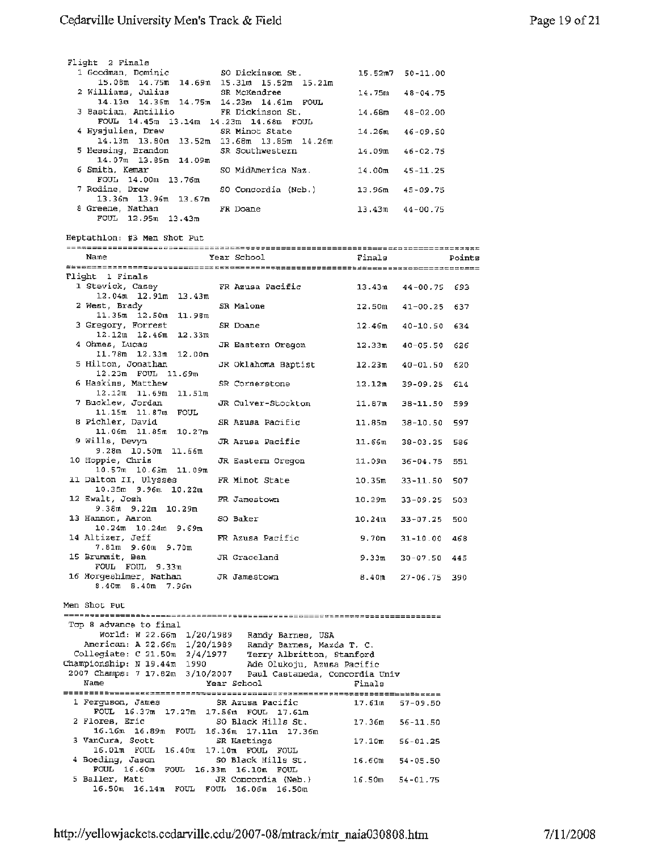| Flight 2 Finals<br>1 Goodman, Dominic 50 Dickinson St.                                                           |                                        |                    | $15.52m7$ $50-11.00$ |        |
|------------------------------------------------------------------------------------------------------------------|----------------------------------------|--------------------|----------------------|--------|
| 15.08m 14.75m 14.69m 15.31m 15.52m 15.21m<br>2 Williams, Julius                                                  | SR McKendree                           |                    | $14.75m$ $48-04.75$  |        |
| 14.13m 14.36m 14.75m 14.23m 14.61m FOUL                                                                          |                                        |                    |                      |        |
| 3 Bastian, Antillio<br>FOUL 14.45m 13.14m 14.23m 14.68m FOUL                                                     | FR Dickinson St.                       |                    | $14.68m$ $48-02.00$  |        |
| 4 Hysjulien, Drew<br>14.13m 13.80m 13.52m 13.68m 13.85m 14.26m                                                   | SR Minot State                         |                    | $14.26m$ $46-09.50$  |        |
| 5 Hessing, Brandon<br>14.07m 13.85m 14.09m                                                                       | SR Southwestern                        |                    | $14.09m$ $46-02.75$  |        |
| 6 Smith, Kemar<br>FOUL 14.00m 13.76m                                                                             | SO MidAmerica Naz. $14.00m$ $45-11.25$ |                    |                      |        |
| 7 Rodine, Drew<br>13.36m 13.96m 13.67m                                                                           | SO Concordia (Neb.) 13.96m 45-09.75    |                    |                      |        |
| 8 Greene, Nathan                                                                                                 | FR Doane                               |                    | $13.43m$ $44-00.75$  |        |
| FOUL 12.95m 13.43m                                                                                               |                                        |                    |                      |        |
| Heptathlon: #3 Men Shot Put                                                                                      |                                        |                    |                      |        |
| Name                                                                                                             | Year School                            | Finals             |                      | Points |
| Flight 1 Finals                                                                                                  |                                        |                    |                      |        |
| 1 Stevick, Casey<br>$12.04m$ $12.91m$ $13.43m$                                                                   | FR Azusa Pacific 13.43m 44-00.75 693   |                    |                      |        |
| 2 West, Brady<br>$11.35m$ $12.50m$ $11.98m$                                                                      | SR Malone                              |                    | $12.50m$ $41-00.25$  | 637    |
| 3 Gregory, Forrest                                                                                               | SR Doane                               |                    | $12.46m$ $40-10.50$  | 634    |
| $12.12m$ $12.46m$ $12.33m$<br>4 Ohmes, Lucas                                                                     | JR Eastern Oregon                      |                    | $12.33m$ $40-05.50$  | 626    |
| 11.78m 12.33m 12.00m<br>5 Hilton, Jonathan                                                                       | JR Oklahoma Baptist                    |                    | $12.23m$ $40-01.50$  | 620    |
| 12.23m FOUL 11.69m<br>6 Haskins, Matthew                                                                         | SR Cornerstone                         |                    | $12.12m$ 39-09.25    | 614    |
| $12.12m$ $11.69m$ $11.51m$<br>7 Bucklew, Jordan                                                                  | JR Culver-Stockton                     | 11.87m             | 38-11.50             | 599    |
| 11.15m 11.87m FOUL<br>8 Pichler, David                                                                           | SR Azusa Pacific                       | 11.85m             | 38-10.50             | 597    |
| 11.06m 11.85m 10.27m<br>9 Wills, Devyn                                                                           | JR Azusa Pacific                       | 11.66m             | 38-03.25             | 586    |
| 9.28m 10.50m 11.66m<br>10 Hoppie, Chris                                                                          | JR Eastern Oregon                      | 11.09m             | $36 - 04.75$         | 551    |
| $10.57m$ $10.63m$ $11.09m$<br>11 Dalton II, Ulysses                                                              | FR Minot State                         | 10.35m             | 33-11.50             | 507    |
| $10.35m$ 9.96 $m$ 10.22 $m$<br>12 Ewalt, Josh                                                                    | FR Jamestown                           | $10.29$ m          | 33-09.25             | 503    |
| $9.38m$ $9.22m$ $10.29m$                                                                                         |                                        |                    |                      |        |
| 13 Hannon, Aaron<br>$10.24m$ $10.24m$ $9.69m$                                                                    | SO Baker                               |                    | $10.24m$ $33-07.25$  | 500    |
| 14 Altizer, Jeff<br>7.81m 9.60m 9.70m                                                                            | FR Azusa Pacific                       | 9.70m              | 31-10.00 468         |        |
| 15 Brummit, Ben<br>FOUL FOUL 9.33m                                                                               | JR Graceland                           | 9.33m              | $30 - 07.50$         | 445    |
| 16 Horgeshimer, Nathan<br>8.40m 8.40m 7.96m                                                                      | JR Jamestown                           | 8.40m              | $27 - 06.75$         | 390    |
|                                                                                                                  |                                        |                    |                      |        |
| Men Shot Put                                                                                                     |                                        |                    |                      |        |
| Top 8 advance to final<br>World: W 22.66m 1/20/1989                                                              |                                        |                    |                      |        |
| American: A 22.66m 1/20/1989 Randy Barnes, Mazda T. C.                                                           | Randy Barnes, USA                      |                    |                      |        |
| Collegiate: C 21.50m 2/4/1977 Terry Albritton, Stanford<br>tampionship: N 19.44m 1990 Ade Olukoju, Azusa Pacific |                                        |                    |                      |        |
| Championship: N 19.44m 1990<br>2007 Champs: 7 17.82m 3/10/2007 Paul Castaneda, Concordia Univ                    |                                        |                    |                      |        |
| Name                                                                                                             | Year School                            | Finals             |                      |        |
| 1 Ferguson, James                                                                                                | SR Azusa Pacific                       | 17.61m             | $57 - 09.50$         |        |
| FOUL 16.37m 17.27m 17.56m FOUL 17.61m<br>2 Flores, Eric                                                          | SO Black Hills St.                     | 17.36m             | $56 - 11.50$         |        |
| 16.16m 16.89m FOUL 16.36m                                                                                        | $17.11m$ $17.36m$                      |                    |                      |        |
| 3 VanCura, Scott<br>16.01m FOUL 16.40m 17.10m FOUL FOUL                                                          | SR Hastings                            | 17.10 <sub>m</sub> | $56 - 01.25$         |        |
| 4 Boeding, Jason<br>FOUL 16.60m FOUL 16.33m 16.10m FOUL                                                          | SO Black Hills St.                     | 16.60m             | $54 - 05.50$         |        |
| 5 Baller, Matt<br>16.50m 16.14m FOUL FOUL 16.06m 16.50m                                                          | JR Concordia (Neb.)                    | 16.50m             | $54 - 01.75$         |        |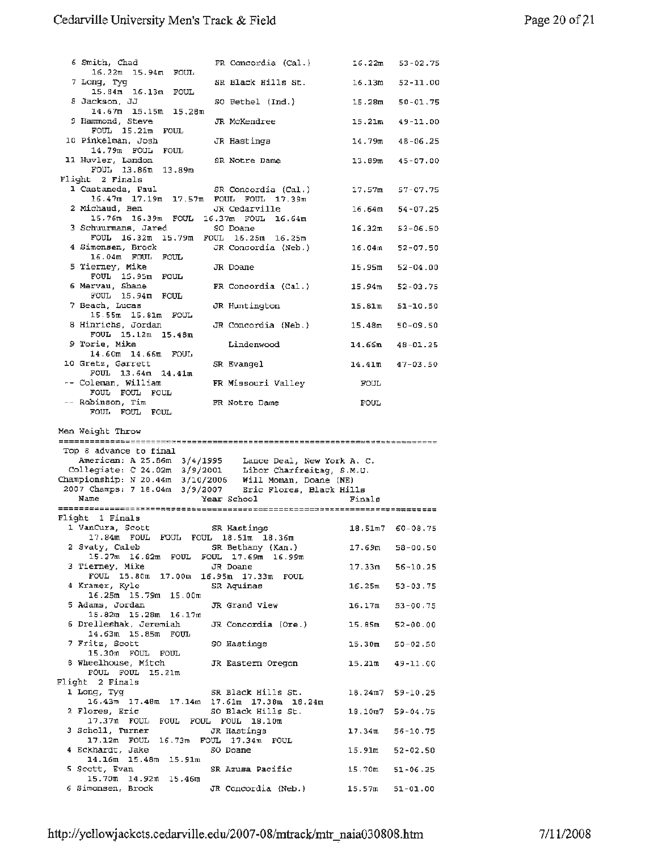| 6 Smith, Chad                                                           | FR Concordia (Cal.)                                                                                                                                                         | 16.22m | $53 - 02.75$        |
|-------------------------------------------------------------------------|-----------------------------------------------------------------------------------------------------------------------------------------------------------------------------|--------|---------------------|
| 16.22m 15.94m FOUL<br>7 Long, Tyg                                       | SR Black Hills St.                                                                                                                                                          | 16.13m | 52-11.00            |
| 15.84m 16.13m FOUL<br>8 Jackson, JJ                                     | SO Bethel (Ind.)                                                                                                                                                            | 15.28m | $50 - 01.75$        |
| $14.67m$ 15.15m 15.28m<br>9 Hammond, Steve                              | JR McKendree                                                                                                                                                                | 15.21m | $49 - 11.00$        |
| $FOUL$ 15.21 $m$ $FOUL$<br>10 Pinkelman, Josh                           | JR Hastings                                                                                                                                                                 |        | $14.79m$ $48-06.25$ |
| 14.79m FOUL FOUL<br>11 Huvler, Landon                                   | SR Notre Dame                                                                                                                                                               | 13.89m | $45 - 07.00$        |
| FOUL 13.86m 13.89m<br>Flight 2 Finals                                   |                                                                                                                                                                             |        |                     |
| 1 Castaneda, Paul                                                       | SR Concordia (Cal.)<br>16.47m 17.19m 17.57m FOUL FOUL 17.39m                                                                                                                | 17.57m | 57-07.75            |
| 2 Michaud, Ben                                                          | JR Cedarville<br>15.76m 16.39m FOUL 16.37m FOUL 16.64m                                                                                                                      |        | $16.64m$ 54-07.25   |
| 3 Schuurmans, Jared                                                     | SO Doane<br>FOUL 16.32m 15.79m FOUL 16.25m 16.25m                                                                                                                           |        | $16.32m$ $53-06.50$ |
| 4 Simonsen, Brock<br>16.04m FOUL FOUL                                   | JR Concordia (Neb.)                                                                                                                                                         | 16.04m | $52 - 07,50$        |
| 5 Tierney, Mike<br>FOUL 15.95m FOUL                                     | JR Doane                                                                                                                                                                    | 15.95m | $52 - 04.00$        |
| 6 Mervau, Shane<br>FOUL 15.94m FOUL                                     | FR Concordia (Cal.)                                                                                                                                                         |        | $15.94m$ $52-03.75$ |
| 7 Beach, Lucas<br>15.55m 15.81m FOUL                                    | JR Huntington                                                                                                                                                               |        | $15.81m$ $51-10.50$ |
| 8 Hinrichs, Jordan<br>FOUL 15.12m 15.48m                                | JR Concordia (Neb.)                                                                                                                                                         |        | $15.48m$ $50-09.50$ |
| 9 Torie, Mike<br>14.60m 14.66m FOUL                                     | Lindenwood                                                                                                                                                                  |        | $14.66m$ $48-01.25$ |
| 10 Gretz, Garrett<br>FOUL 13.64m 14.41m                                 | SR Evangel                                                                                                                                                                  |        | $14.41m$ $47-03.50$ |
| -- Coleman, William<br>FOUL FOUL FOUL                                   | FR Missouri Valley                                                                                                                                                          | FOUL   |                     |
| -- Robinson, Tim<br>FOUL FOUL FOUL                                      | FR Notre Dame                                                                                                                                                               | FOUL   |                     |
| Men Weight Throw                                                        |                                                                                                                                                                             |        |                     |
| Top 8 advance to final                                                  | American: A 25.86m 3/4/1995 Lance Deal, New York A.C.<br>Collegiate: C 24.02m 3/9/2001 Libor Charfreitag, S.M.U.<br>Championship: N 20.44m 3/10/2006 Will Moman, Doane (NE) |        |                     |
| Name                                                                    | 2007 Champs: 7 18.04m 3/9/2007 Eric Flores, Black Hills<br>Year School                                                                                                      | Finals |                     |
| Flight 1 Finals                                                         |                                                                                                                                                                             |        |                     |
| 1 VanCura, Scott                                                        | SR Hastings                                                                                                                                                                 |        | $18.51m7$ 60-08.75  |
| 17.84m FOUL FOUL FOUL 18.51m 18.36m<br>2 Svaty, Caleb SR Bethany (Kan.) | 15.27m 16.82m FOUL FOUL 17.69m 16.99m                                                                                                                                       |        | $17.69m$ 58-00.50   |
| 3 Tierney, Mike                                                         | JR Doane<br>FOUL 15.80m 17.00m 16.95m 17.33m FOUL                                                                                                                           |        | $17.33m$ $56-10.25$ |
| 4 Kramer, Kyle<br>16.25m 15.79m 15.00m                                  | SR Aquinas                                                                                                                                                                  |        | $16.25m$ 53-03.75   |
| 5 Adams, Jordan<br>$15.82m$ 15.28m 16.17m                               | JR Grand View                                                                                                                                                               |        | $16.17m$ $53-00.75$ |
| 6 Drelleshak, Jeremiah<br>14.63m 15.85m FOUL                            | JR Concordia (Ore.) 15.85m 52-00.00                                                                                                                                         |        |                     |
| 7 Fritz, Scott<br>15.30m FOUL FOUL                                      | SO Hastings                                                                                                                                                                 |        | $15.30m$ $50-02.50$ |
| 8 Wheelhouse, Mitch<br>FOUL FOUL 15.21m                                 | JR Eastern Oregon                                                                                                                                                           |        | $15.21m$ $49-11.00$ |
| Flight 2 Finals<br>1 Long, Tyg                                          | SR Black Hills St.                                                                                                                                                          |        | $18.24m7$ 59-10.25  |
| 2 Flores, Eric                                                          | $16.43m$ 17.48 $m$ 17.14 $m$ 17.61 $m$ 17.38 $m$ 18.24 $m$<br>SO Black Hills St.                                                                                            |        | $18.10m7$ 59-04.75  |
| 17.37m FOUL FOUL FOUL FOUL 18.10m<br>3 Scholl, Turner                   | JR Hastings                                                                                                                                                                 |        | $17.34m$ 56-10.75   |
| 4 Eckhardt, Jake                                                        | 17.12m FOUL 16.73m FOUL 17.34m FOUL<br>50 Doane                                                                                                                             |        | 15.91m 52-02.50     |
| $14.16m$ 15.48m 15.91m<br>5 Scott, Evan<br>$15.70m$ $14.92m$ $15.46m$   | SR Azusa Pacific                                                                                                                                                            |        | $15.70m$ $51-06.25$ |